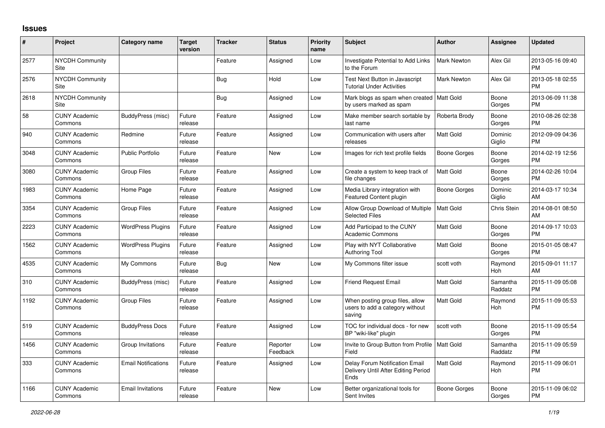## **Issues**

| #    | Project                         | <b>Category name</b>       | <b>Target</b><br>version | <b>Tracker</b> | <b>Status</b>        | <b>Priority</b><br>name | <b>Subject</b>                                                                | <b>Author</b>      | <b>Assignee</b>     | <b>Updated</b>                |
|------|---------------------------------|----------------------------|--------------------------|----------------|----------------------|-------------------------|-------------------------------------------------------------------------------|--------------------|---------------------|-------------------------------|
| 2577 | <b>NYCDH Community</b><br>Site  |                            |                          | Feature        | Assigned             | Low                     | Investigate Potential to Add Links<br>to the Forum                            | <b>Mark Newton</b> | Alex Gil            | 2013-05-16 09:40<br><b>PM</b> |
| 2576 | <b>NYCDH Community</b><br>Site  |                            |                          | Bug            | Hold                 | Low                     | Test Next Button in Javascript<br><b>Tutorial Under Activities</b>            | <b>Mark Newton</b> | Alex Gil            | 2013-05-18 02:55<br><b>PM</b> |
| 2618 | <b>NYCDH Community</b><br>Site  |                            |                          | <b>Bug</b>     | Assigned             | Low                     | Mark blogs as spam when created   Matt Gold<br>by users marked as spam        |                    | Boone<br>Gorges     | 2013-06-09 11:38<br><b>PM</b> |
| 58   | <b>CUNY Academic</b><br>Commons | BuddyPress (misc)          | Future<br>release        | Feature        | Assigned             | Low                     | Make member search sortable by<br>last name                                   | Roberta Brody      | Boone<br>Gorges     | 2010-08-26 02:38<br><b>PM</b> |
| 940  | <b>CUNY Academic</b><br>Commons | Redmine                    | Future<br>release        | Feature        | Assigned             | Low                     | Communication with users after<br>releases                                    | Matt Gold          | Dominic<br>Giglio   | 2012-09-09 04:36<br><b>PM</b> |
| 3048 | <b>CUNY Academic</b><br>Commons | <b>Public Portfolio</b>    | Future<br>release        | Feature        | <b>New</b>           | Low                     | Images for rich text profile fields                                           | Boone Gorges       | Boone<br>Gorges     | 2014-02-19 12:56<br><b>PM</b> |
| 3080 | <b>CUNY Academic</b><br>Commons | Group Files                | Future<br>release        | Feature        | Assigned             | Low                     | Create a system to keep track of<br>file changes                              | <b>Matt Gold</b>   | Boone<br>Gorges     | 2014-02-26 10:04<br><b>PM</b> |
| 1983 | <b>CUNY Academic</b><br>Commons | Home Page                  | Future<br>release        | Feature        | Assigned             | Low                     | Media Library integration with<br><b>Featured Content plugin</b>              | Boone Gorges       | Dominic<br>Giglio   | 2014-03-17 10:34<br>AM        |
| 3354 | <b>CUNY Academic</b><br>Commons | <b>Group Files</b>         | Future<br>release        | Feature        | Assigned             | Low                     | Allow Group Download of Multiple<br><b>Selected Files</b>                     | <b>Matt Gold</b>   | Chris Stein         | 2014-08-01 08:50<br>AM        |
| 2223 | <b>CUNY Academic</b><br>Commons | <b>WordPress Plugins</b>   | Future<br>release        | Feature        | Assigned             | Low                     | Add Participad to the CUNY<br>Academic Commons                                | <b>Matt Gold</b>   | Boone<br>Gorges     | 2014-09-17 10:03<br><b>PM</b> |
| 1562 | <b>CUNY Academic</b><br>Commons | <b>WordPress Plugins</b>   | Future<br>release        | Feature        | Assigned             | Low                     | Play with NYT Collaborative<br><b>Authoring Tool</b>                          | <b>Matt Gold</b>   | Boone<br>Gorges     | 2015-01-05 08:47<br><b>PM</b> |
| 4535 | <b>CUNY Academic</b><br>Commons | My Commons                 | Future<br>release        | Bug            | New                  | Low                     | My Commons filter issue                                                       | scott voth         | Raymond<br>Hoh      | 2015-09-01 11:17<br>AM        |
| 310  | <b>CUNY Academic</b><br>Commons | BuddyPress (misc)          | Future<br>release        | Feature        | Assigned             | Low                     | <b>Friend Request Email</b>                                                   | <b>Matt Gold</b>   | Samantha<br>Raddatz | 2015-11-09 05:08<br><b>PM</b> |
| 1192 | <b>CUNY Academic</b><br>Commons | Group Files                | Future<br>release        | Feature        | Assigned             | Low                     | When posting group files, allow<br>users to add a category without<br>saving  | Matt Gold          | Raymond<br>Hoh      | 2015-11-09 05:53<br><b>PM</b> |
| 519  | <b>CUNY Academic</b><br>Commons | <b>BuddyPress Docs</b>     | Future<br>release        | Feature        | Assigned             | Low                     | TOC for individual docs - for new<br>BP "wiki-like" plugin                    | scott voth         | Boone<br>Gorges     | 2015-11-09 05:54<br><b>PM</b> |
| 1456 | <b>CUNY Academic</b><br>Commons | Group Invitations          | Future<br>release        | Feature        | Reporter<br>Feedback | Low                     | Invite to Group Button from Profile  <br>Field                                | <b>Matt Gold</b>   | Samantha<br>Raddatz | 2015-11-09 05:59<br><b>PM</b> |
| 333  | <b>CUNY Academic</b><br>Commons | <b>Email Notifications</b> | Future<br>release        | Feature        | Assigned             | Low                     | Delay Forum Notification Email<br>Delivery Until After Editing Period<br>Ends | Matt Gold          | Raymond<br>Hoh      | 2015-11-09 06:01<br><b>PM</b> |
| 1166 | <b>CUNY Academic</b><br>Commons | <b>Email Invitations</b>   | Future<br>release        | Feature        | <b>New</b>           | Low                     | Better organizational tools for<br>Sent Invites                               | Boone Gorges       | Boone<br>Gorges     | 2015-11-09 06:02<br><b>PM</b> |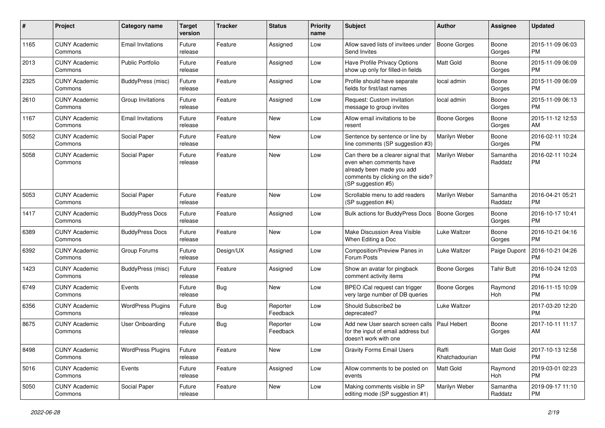| #    | Project                         | <b>Category name</b>     | <b>Target</b><br>version | <b>Tracker</b> | <b>Status</b>        | <b>Priority</b><br>name | <b>Subject</b>                                                                                                                                        | <b>Author</b>           | <b>Assignee</b>     | <b>Updated</b>                |
|------|---------------------------------|--------------------------|--------------------------|----------------|----------------------|-------------------------|-------------------------------------------------------------------------------------------------------------------------------------------------------|-------------------------|---------------------|-------------------------------|
| 1165 | <b>CUNY Academic</b><br>Commons | <b>Email Invitations</b> | Future<br>release        | Feature        | Assigned             | Low                     | Allow saved lists of invitees under<br>Send Invites                                                                                                   | <b>Boone Gorges</b>     | Boone<br>Gorges     | 2015-11-09 06:03<br><b>PM</b> |
| 2013 | <b>CUNY Academic</b><br>Commons | <b>Public Portfolio</b>  | Future<br>release        | Feature        | Assigned             | Low                     | Have Profile Privacy Options<br>show up only for filled-in fields                                                                                     | Matt Gold               | Boone<br>Gorges     | 2015-11-09 06:09<br><b>PM</b> |
| 2325 | <b>CUNY Academic</b><br>Commons | BuddyPress (misc)        | Future<br>release        | Feature        | Assigned             | Low                     | Profile should have separate<br>fields for first/last names                                                                                           | local admin             | Boone<br>Gorges     | 2015-11-09 06:09<br><b>PM</b> |
| 2610 | <b>CUNY Academic</b><br>Commons | Group Invitations        | Future<br>release        | Feature        | Assigned             | Low                     | Request: Custom invitation<br>message to group invites                                                                                                | local admin             | Boone<br>Gorges     | 2015-11-09 06:13<br><b>PM</b> |
| 1167 | <b>CUNY Academic</b><br>Commons | <b>Email Invitations</b> | Future<br>release        | Feature        | <b>New</b>           | Low                     | Allow email invitations to be<br>resent                                                                                                               | Boone Gorges            | Boone<br>Gorges     | 2015-11-12 12:53<br>AM        |
| 5052 | <b>CUNY Academic</b><br>Commons | Social Paper             | Future<br>release        | Feature        | <b>New</b>           | Low                     | Sentence by sentence or line by<br>line comments (SP suggestion #3)                                                                                   | Marilyn Weber           | Boone<br>Gorges     | 2016-02-11 10:24<br><b>PM</b> |
| 5058 | <b>CUNY Academic</b><br>Commons | Social Paper             | Future<br>release        | Feature        | New                  | Low                     | Can there be a clearer signal that<br>even when comments have<br>already been made you add<br>comments by clicking on the side?<br>(SP suggestion #5) | Marilyn Weber           | Samantha<br>Raddatz | 2016-02-11 10:24<br><b>PM</b> |
| 5053 | <b>CUNY Academic</b><br>Commons | Social Paper             | Future<br>release        | Feature        | <b>New</b>           | Low                     | Scrollable menu to add readers<br>(SP suggestion #4)                                                                                                  | Marilyn Weber           | Samantha<br>Raddatz | 2016-04-21 05:21<br><b>PM</b> |
| 1417 | <b>CUNY Academic</b><br>Commons | <b>BuddyPress Docs</b>   | Future<br>release        | Feature        | Assigned             | Low                     | <b>Bulk actions for BuddyPress Docs</b>                                                                                                               | <b>Boone Gorges</b>     | Boone<br>Gorges     | 2016-10-17 10:41<br><b>PM</b> |
| 6389 | <b>CUNY Academic</b><br>Commons | <b>BuddyPress Docs</b>   | Future<br>release        | Feature        | New                  | Low                     | Make Discussion Area Visible<br>When Editing a Doc                                                                                                    | Luke Waltzer            | Boone<br>Gorges     | 2016-10-21 04:16<br><b>PM</b> |
| 6392 | <b>CUNY Academic</b><br>Commons | Group Forums             | Future<br>release        | Design/UX      | Assigned             | Low                     | Composition/Preview Panes in<br>Forum Posts                                                                                                           | Luke Waltzer            | Paige Dupont        | 2016-10-21 04:26<br><b>PM</b> |
| 1423 | <b>CUNY Academic</b><br>Commons | BuddyPress (misc)        | Future<br>release        | Feature        | Assigned             | Low                     | Show an avatar for pingback<br>comment activity items                                                                                                 | <b>Boone Gorges</b>     | <b>Tahir Butt</b>   | 2016-10-24 12:03<br><b>PM</b> |
| 6749 | <b>CUNY Academic</b><br>Commons | Events                   | Future<br>release        | <b>Bug</b>     | <b>New</b>           | Low                     | BPEO iCal request can trigger<br>very large number of DB queries                                                                                      | <b>Boone Gorges</b>     | Raymond<br>Hoh      | 2016-11-15 10:09<br><b>PM</b> |
| 6356 | <b>CUNY Academic</b><br>Commons | <b>WordPress Plugins</b> | Future<br>release        | Bug            | Reporter<br>Feedback | Low                     | Should Subscribe2 be<br>deprecated?                                                                                                                   | Luke Waltzer            |                     | 2017-03-20 12:20<br><b>PM</b> |
| 8675 | <b>CUNY Academic</b><br>Commons | User Onboarding          | Future<br>release        | Bug            | Reporter<br>Feedback | Low                     | Add new User search screen calls<br>for the input of email address but<br>doesn't work with one                                                       | Paul Hebert             | Boone<br>Gorges     | 2017-10-11 11:17<br>AM        |
| 8498 | <b>CUNY Academic</b><br>Commons | <b>WordPress Plugins</b> | Future<br>release        | Feature        | New                  | Low                     | <b>Gravity Forms Email Users</b>                                                                                                                      | Raffi<br>Khatchadourian | Matt Gold           | 2017-10-13 12:58<br><b>PM</b> |
| 5016 | <b>CUNY Academic</b><br>Commons | Events                   | Future<br>release        | Feature        | Assigned             | Low                     | Allow comments to be posted on<br>events                                                                                                              | Matt Gold               | Raymond<br>Hoh      | 2019-03-01 02:23<br><b>PM</b> |
| 5050 | <b>CUNY Academic</b><br>Commons | Social Paper             | Future<br>release        | Feature        | New                  | Low                     | Making comments visible in SP<br>editing mode (SP suggestion #1)                                                                                      | Marilyn Weber           | Samantha<br>Raddatz | 2019-09-17 11:10<br>PM        |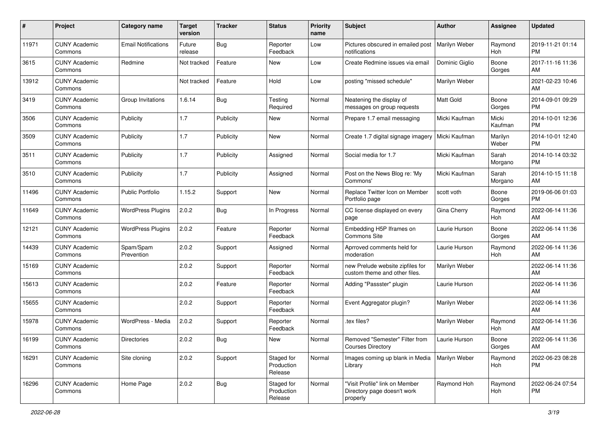| #     | Project                         | <b>Category name</b>       | <b>Target</b><br>version | <b>Tracker</b> | <b>Status</b>                       | <b>Priority</b><br>name | <b>Subject</b>                                                            | <b>Author</b>  | <b>Assignee</b>  | <b>Updated</b>                |
|-------|---------------------------------|----------------------------|--------------------------|----------------|-------------------------------------|-------------------------|---------------------------------------------------------------------------|----------------|------------------|-------------------------------|
| 11971 | <b>CUNY Academic</b><br>Commons | <b>Email Notifications</b> | Future<br>release        | Bug            | Reporter<br>Feedback                | Low                     | Pictures obscured in emailed post<br>notifications                        | Marilyn Weber  | Raymond<br>Hoh   | 2019-11-21 01:14<br><b>PM</b> |
| 3615  | <b>CUNY Academic</b><br>Commons | Redmine                    | Not tracked              | Feature        | New                                 | Low                     | Create Redmine issues via email                                           | Dominic Giglio | Boone<br>Gorges  | 2017-11-16 11:36<br>AM        |
| 13912 | <b>CUNY Academic</b><br>Commons |                            | Not tracked              | Feature        | Hold                                | Low                     | posting "missed schedule"                                                 | Marilyn Weber  |                  | 2021-02-23 10:46<br>AM        |
| 3419  | <b>CUNY Academic</b><br>Commons | Group Invitations          | 1.6.14                   | <b>Bug</b>     | Testing<br>Required                 | Normal                  | Neatening the display of<br>messages on group requests                    | Matt Gold      | Boone<br>Gorges  | 2014-09-01 09:29<br><b>PM</b> |
| 3506  | <b>CUNY Academic</b><br>Commons | Publicity                  | 1.7                      | Publicity      | New                                 | Normal                  | Prepare 1.7 email messaging                                               | Micki Kaufman  | Micki<br>Kaufman | 2014-10-01 12:36<br>PM        |
| 3509  | <b>CUNY Academic</b><br>Commons | Publicity                  | 1.7                      | Publicity      | <b>New</b>                          | Normal                  | Create 1.7 digital signage imagery                                        | Micki Kaufman  | Marilyn<br>Weber | 2014-10-01 12:40<br><b>PM</b> |
| 3511  | <b>CUNY Academic</b><br>Commons | Publicity                  | 1.7                      | Publicity      | Assigned                            | Normal                  | Social media for 1.7                                                      | Micki Kaufman  | Sarah<br>Morgano | 2014-10-14 03:32<br><b>PM</b> |
| 3510  | <b>CUNY Academic</b><br>Commons | Publicity                  | 1.7                      | Publicity      | Assigned                            | Normal                  | Post on the News Blog re: 'My<br>Commons'                                 | Micki Kaufman  | Sarah<br>Morgano | 2014-10-15 11:18<br>AM        |
| 11496 | <b>CUNY Academic</b><br>Commons | <b>Public Portfolio</b>    | 1.15.2                   | Support        | New                                 | Normal                  | Replace Twitter Icon on Member<br>Portfolio page                          | scott voth     | Boone<br>Gorges  | 2019-06-06 01:03<br><b>PM</b> |
| 11649 | <b>CUNY Academic</b><br>Commons | <b>WordPress Plugins</b>   | 2.0.2                    | <b>Bug</b>     | In Progress                         | Normal                  | CC license displayed on every<br>page                                     | Gina Cherry    | Raymond<br>Hoh   | 2022-06-14 11:36<br>AM        |
| 12121 | <b>CUNY Academic</b><br>Commons | <b>WordPress Plugins</b>   | 2.0.2                    | Feature        | Reporter<br>Feedback                | Normal                  | Embedding H5P Iframes on<br>Commons Site                                  | Laurie Hurson  | Boone<br>Gorges  | 2022-06-14 11:36<br>AM        |
| 14439 | <b>CUNY Academic</b><br>Commons | Spam/Spam<br>Prevention    | 2.0.2                    | Support        | Assigned                            | Normal                  | Aprroved comments held for<br>moderation                                  | Laurie Hurson  | Raymond<br>Hoh   | 2022-06-14 11:36<br>AM        |
| 15169 | <b>CUNY Academic</b><br>Commons |                            | 2.0.2                    | Support        | Reporter<br>Feedback                | Normal                  | new Prelude website zipfiles for<br>custom theme and other files.         | Marilyn Weber  |                  | 2022-06-14 11:36<br>AM        |
| 15613 | <b>CUNY Academic</b><br>Commons |                            | 2.0.2                    | Feature        | Reporter<br>Feedback                | Normal                  | Adding "Passster" plugin                                                  | Laurie Hurson  |                  | 2022-06-14 11:36<br>AM        |
| 15655 | <b>CUNY Academic</b><br>Commons |                            | 2.0.2                    | Support        | Reporter<br>Feedback                | Normal                  | Event Aggregator plugin?                                                  | Marilyn Weber  |                  | 2022-06-14 11:36<br>AM        |
| 15978 | <b>CUNY Academic</b><br>Commons | WordPress - Media          | 2.0.2                    | Support        | Reporter<br>Feedback                | Normal                  | .tex files?                                                               | Marilyn Weber  | Raymond<br>Hoh   | 2022-06-14 11:36<br>AM        |
| 16199 | <b>CUNY Academic</b><br>Commons | <b>Directories</b>         | 2.0.2                    | Bug            | <b>New</b>                          | Normal                  | Removed "Semester" Filter from<br><b>Courses Directory</b>                | Laurie Hurson  | Boone<br>Gorges  | 2022-06-14 11:36<br>AM        |
| 16291 | <b>CUNY Academic</b><br>Commons | Site cloning               | 2.0.2                    | Support        | Staged for<br>Production<br>Release | Normal                  | Images coming up blank in Media<br>Library                                | Marilyn Weber  | Raymond<br>Hoh   | 2022-06-23 08:28<br>PM        |
| 16296 | <b>CUNY Academic</b><br>Commons | Home Page                  | 2.0.2                    | <b>Bug</b>     | Staged for<br>Production<br>Release | Normal                  | "Visit Profile" link on Member<br>Directory page doesn't work<br>properly | Raymond Hoh    | Raymond<br>Hoh   | 2022-06-24 07:54<br>PM        |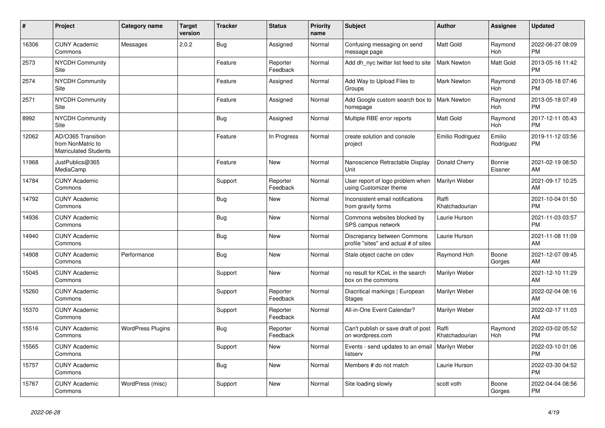| #     | Project                                                                 | Category name            | <b>Target</b><br>version | Tracker    | <b>Status</b>        | <b>Priority</b><br>name | <b>Subject</b>                                                       | <b>Author</b>           | <b>Assignee</b>       | <b>Updated</b>                |
|-------|-------------------------------------------------------------------------|--------------------------|--------------------------|------------|----------------------|-------------------------|----------------------------------------------------------------------|-------------------------|-----------------------|-------------------------------|
| 16306 | <b>CUNY Academic</b><br>Commons                                         | Messages                 | 2.0.2                    | <b>Bug</b> | Assigned             | Normal                  | Confusing messaging on send<br>message page                          | <b>Matt Gold</b>        | Raymond<br><b>Hoh</b> | 2022-06-27 08:09<br><b>PM</b> |
| 2573  | <b>NYCDH Community</b><br>Site                                          |                          |                          | Feature    | Reporter<br>Feedback | Normal                  | Add dh nyc twitter list feed to site                                 | <b>Mark Newton</b>      | Matt Gold             | 2013-05-16 11:42<br><b>PM</b> |
| 2574  | NYCDH Community<br><b>Site</b>                                          |                          |                          | Feature    | Assigned             | Normal                  | Add Way to Upload Files to<br>Groups                                 | <b>Mark Newton</b>      | Raymond<br>Hoh        | 2013-05-18 07:46<br><b>PM</b> |
| 2571  | <b>NYCDH Community</b><br>Site                                          |                          |                          | Feature    | Assigned             | Normal                  | Add Google custom search box to<br>homepage                          | <b>Mark Newton</b>      | Raymond<br><b>Hoh</b> | 2013-05-18 07:49<br><b>PM</b> |
| 8992  | <b>NYCDH Community</b><br>Site                                          |                          |                          | Bug        | Assigned             | Normal                  | Multiple RBE error reports                                           | Matt Gold               | Raymond<br>Hoh        | 2017-12-11 05:43<br><b>PM</b> |
| 12062 | AD/O365 Transition<br>from NonMatric to<br><b>Matriculated Students</b> |                          |                          | Feature    | In Progress          | Normal                  | create solution and console<br>project                               | Emilio Rodriguez        | Emilio<br>Rodriguez   | 2019-11-12 03:56<br><b>PM</b> |
| 11968 | JustPublics@365<br>MediaCamp                                            |                          |                          | Feature    | <b>New</b>           | Normal                  | Nanoscience Retractable Display<br>Unit                              | Donald Cherry           | Bonnie<br>Eissner     | 2021-02-19 08:50<br>AM        |
| 14784 | <b>CUNY Academic</b><br>Commons                                         |                          |                          | Support    | Reporter<br>Feedback | Normal                  | User report of logo problem when<br>using Customizer theme           | Marilyn Weber           |                       | 2021-09-17 10:25<br>AM        |
| 14792 | <b>CUNY Academic</b><br>Commons                                         |                          |                          | <b>Bug</b> | New                  | Normal                  | Inconsistent email notifications<br>from gravity forms               | Raffi<br>Khatchadourian |                       | 2021-10-04 01:50<br><b>PM</b> |
| 14936 | <b>CUNY Academic</b><br>Commons                                         |                          |                          | <b>Bug</b> | <b>New</b>           | Normal                  | Commons websites blocked by<br>SPS campus network                    | Laurie Hurson           |                       | 2021-11-03 03:57<br><b>PM</b> |
| 14940 | <b>CUNY Academic</b><br>Commons                                         |                          |                          | <b>Bug</b> | <b>New</b>           | Normal                  | Discrepancy between Commons<br>profile "sites" and actual # of sites | Laurie Hurson           |                       | 2021-11-08 11:09<br>AM        |
| 14908 | <b>CUNY Academic</b><br>Commons                                         | Performance              |                          | Bug        | New                  | Normal                  | Stale object cache on cdev                                           | Raymond Hoh             | Boone<br>Gorges       | 2021-12-07 09:45<br>AM        |
| 15045 | <b>CUNY Academic</b><br>Commons                                         |                          |                          | Support    | <b>New</b>           | Normal                  | no result for KCeL in the search<br>box on the commons               | Marilyn Weber           |                       | 2021-12-10 11:29<br>AM        |
| 15260 | <b>CUNY Academic</b><br>Commons                                         |                          |                          | Support    | Reporter<br>Feedback | Normal                  | Diacritical markings   European<br><b>Stages</b>                     | Marilyn Weber           |                       | 2022-02-04 08:16<br>AM        |
| 15370 | <b>CUNY Academic</b><br>Commons                                         |                          |                          | Support    | Reporter<br>Feedback | Normal                  | All-in-One Event Calendar?                                           | Marilyn Weber           |                       | 2022-02-17 11:03<br>AM        |
| 15516 | <b>CUNY Academic</b><br>Commons                                         | <b>WordPress Plugins</b> |                          | <b>Bug</b> | Reporter<br>Feedback | Normal                  | Can't publish or save draft of post<br>on wordpress.com              | Raffi<br>Khatchadourian | Raymond<br>Hoh        | 2022-03-02 05:52<br><b>PM</b> |
| 15565 | <b>CUNY Academic</b><br>Commons                                         |                          |                          | Support    | <b>New</b>           | Normal                  | Events - send updates to an email<br>listserv                        | <b>Marilyn Weber</b>    |                       | 2022-03-10 01:06<br><b>PM</b> |
| 15757 | <b>CUNY Academic</b><br>Commons                                         |                          |                          | <b>Bug</b> | <b>New</b>           | Normal                  | Members # do not match                                               | Laurie Hurson           |                       | 2022-03-30 04:52<br><b>PM</b> |
| 15767 | <b>CUNY Academic</b><br>Commons                                         | WordPress (misc)         |                          | Support    | <b>New</b>           | Normal                  | Site loading slowly                                                  | scott voth              | Boone<br>Gorges       | 2022-04-04 08:56<br><b>PM</b> |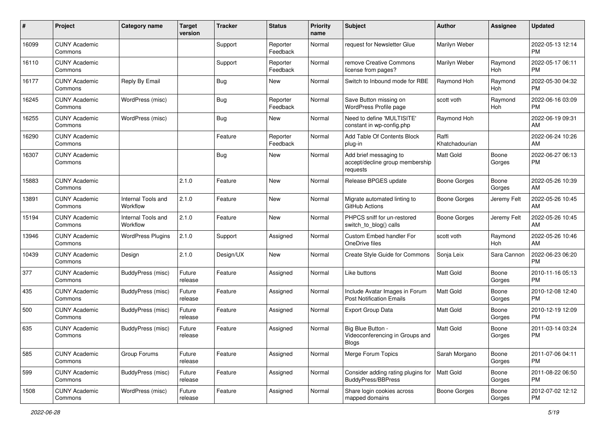| #     | Project                         | <b>Category name</b>           | <b>Target</b><br>version | <b>Tracker</b> | <b>Status</b>        | <b>Priority</b><br>name | <b>Subject</b>                                                        | <b>Author</b>           | <b>Assignee</b>       | <b>Updated</b>                |
|-------|---------------------------------|--------------------------------|--------------------------|----------------|----------------------|-------------------------|-----------------------------------------------------------------------|-------------------------|-----------------------|-------------------------------|
| 16099 | <b>CUNY Academic</b><br>Commons |                                |                          | Support        | Reporter<br>Feedback | Normal                  | request for Newsletter Glue                                           | Marilyn Weber           |                       | 2022-05-13 12:14<br><b>PM</b> |
| 16110 | <b>CUNY Academic</b><br>Commons |                                |                          | Support        | Reporter<br>Feedback | Normal                  | remove Creative Commons<br>license from pages?                        | Marilyn Weber           | Raymond<br><b>Hoh</b> | 2022-05-17 06:11<br><b>PM</b> |
| 16177 | <b>CUNY Academic</b><br>Commons | Reply By Email                 |                          | <b>Bug</b>     | New                  | Normal                  | Switch to Inbound mode for RBE                                        | Raymond Hoh             | Raymond<br>Hoh        | 2022-05-30 04:32<br><b>PM</b> |
| 16245 | <b>CUNY Academic</b><br>Commons | WordPress (misc)               |                          | Bug            | Reporter<br>Feedback | Normal                  | Save Button missing on<br>WordPress Profile page                      | scott voth              | Raymond<br>Hoh        | 2022-06-16 03:09<br><b>PM</b> |
| 16255 | <b>CUNY Academic</b><br>Commons | WordPress (misc)               |                          | Bug            | <b>New</b>           | Normal                  | Need to define 'MULTISITE'<br>constant in wp-config.php               | Raymond Hoh             |                       | 2022-06-19 09:31<br>AM        |
| 16290 | <b>CUNY Academic</b><br>Commons |                                |                          | Feature        | Reporter<br>Feedback | Normal                  | Add Table Of Contents Block<br>plug-in                                | Raffi<br>Khatchadourian |                       | 2022-06-24 10:26<br>AM        |
| 16307 | <b>CUNY Academic</b><br>Commons |                                |                          | <b>Bug</b>     | New                  | Normal                  | Add brief messaging to<br>accept/decline group membership<br>requests | Matt Gold               | Boone<br>Gorges       | 2022-06-27 06:13<br><b>PM</b> |
| 15883 | <b>CUNY Academic</b><br>Commons |                                | 2.1.0                    | Feature        | <b>New</b>           | Normal                  | Release BPGES update                                                  | <b>Boone Gorges</b>     | Boone<br>Gorges       | 2022-05-26 10:39<br>AM        |
| 13891 | <b>CUNY Academic</b><br>Commons | Internal Tools and<br>Workflow | 2.1.0                    | Feature        | <b>New</b>           | Normal                  | Migrate automated linting to<br>GitHub Actions                        | Boone Gorges            | Jeremy Felt           | 2022-05-26 10:45<br>AM        |
| 15194 | <b>CUNY Academic</b><br>Commons | Internal Tools and<br>Workflow | 2.1.0                    | Feature        | New                  | Normal                  | PHPCS sniff for un-restored<br>switch_to_blog() calls                 | Boone Gorges            | Jeremy Felt           | 2022-05-26 10:45<br>AM        |
| 13946 | <b>CUNY Academic</b><br>Commons | <b>WordPress Plugins</b>       | 2.1.0                    | Support        | Assigned             | Normal                  | Custom Embed handler For<br>OneDrive files                            | scott voth              | Raymond<br>Hoh        | 2022-05-26 10:46<br>AM        |
| 10439 | <b>CUNY Academic</b><br>Commons | Design                         | 2.1.0                    | Design/UX      | <b>New</b>           | Normal                  | Create Style Guide for Commons                                        | Sonja Leix              | Sara Cannon           | 2022-06-23 06:20<br>PM        |
| 377   | <b>CUNY Academic</b><br>Commons | BuddyPress (misc)              | Future<br>release        | Feature        | Assigned             | Normal                  | Like buttons                                                          | <b>Matt Gold</b>        | Boone<br>Gorges       | 2010-11-16 05:13<br><b>PM</b> |
| 435   | <b>CUNY Academic</b><br>Commons | BuddyPress (misc)              | Future<br>release        | Feature        | Assigned             | Normal                  | Include Avatar Images in Forum<br><b>Post Notification Emails</b>     | <b>Matt Gold</b>        | Boone<br>Gorges       | 2010-12-08 12:40<br><b>PM</b> |
| 500   | <b>CUNY Academic</b><br>Commons | BuddyPress (misc)              | Future<br>release        | Feature        | Assigned             | Normal                  | <b>Export Group Data</b>                                              | Matt Gold               | Boone<br>Gorges       | 2010-12-19 12:09<br><b>PM</b> |
| 635   | <b>CUNY Academic</b><br>Commons | BuddyPress (misc)              | Future<br>release        | Feature        | Assigned             | Normal                  | Big Blue Button -<br>Videoconferencing in Groups and<br>Blogs         | <b>Matt Gold</b>        | Boone<br>Gorges       | 2011-03-14 03:24<br><b>PM</b> |
| 585   | <b>CUNY Academic</b><br>Commons | Group Forums                   | Future<br>release        | Feature        | Assigned             | Normal                  | Merge Forum Topics                                                    | Sarah Morgano           | Boone<br>Gorges       | 2011-07-06 04:11<br><b>PM</b> |
| 599   | <b>CUNY Academic</b><br>Commons | BuddyPress (misc)              | Future<br>release        | Feature        | Assigned             | Normal                  | Consider adding rating plugins for<br><b>BuddyPress/BBPress</b>       | <b>Matt Gold</b>        | Boone<br>Gorges       | 2011-08-22 06:50<br><b>PM</b> |
| 1508  | <b>CUNY Academic</b><br>Commons | WordPress (misc)               | Future<br>release        | Feature        | Assigned             | Normal                  | Share login cookies across<br>mapped domains                          | <b>Boone Gorges</b>     | Boone<br>Gorges       | 2012-07-02 12:12<br>PM        |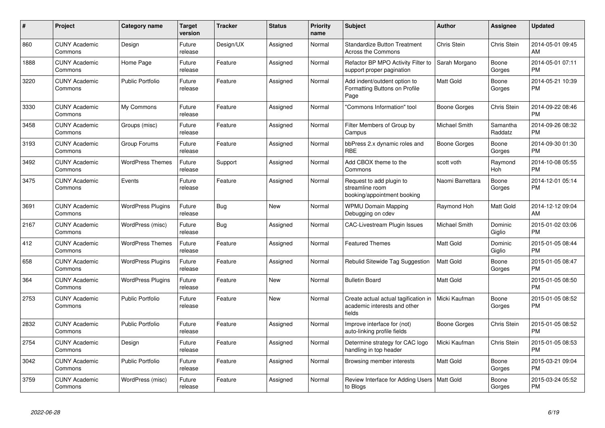| #    | <b>Project</b>                  | Category name            | <b>Target</b><br>version | <b>Tracker</b> | <b>Status</b> | <b>Priority</b><br>name | <b>Subject</b>                                                                 | <b>Author</b>    | Assignee            | <b>Updated</b>                |
|------|---------------------------------|--------------------------|--------------------------|----------------|---------------|-------------------------|--------------------------------------------------------------------------------|------------------|---------------------|-------------------------------|
| 860  | <b>CUNY Academic</b><br>Commons | Design                   | Future<br>release        | Design/UX      | Assigned      | Normal                  | <b>Standardize Button Treatment</b><br>Across the Commons                      | Chris Stein      | <b>Chris Stein</b>  | 2014-05-01 09:45<br>AM        |
| 1888 | <b>CUNY Academic</b><br>Commons | Home Page                | Future<br>release        | Feature        | Assigned      | Normal                  | Refactor BP MPO Activity Filter to<br>support proper pagination                | Sarah Morgano    | Boone<br>Gorges     | 2014-05-01 07:11<br><b>PM</b> |
| 3220 | <b>CUNY Academic</b><br>Commons | <b>Public Portfolio</b>  | Future<br>release        | Feature        | Assigned      | Normal                  | Add indent/outdent option to<br>Formatting Buttons on Profile<br>Page          | Matt Gold        | Boone<br>Gorges     | 2014-05-21 10:39<br><b>PM</b> |
| 3330 | <b>CUNY Academic</b><br>Commons | My Commons               | Future<br>release        | Feature        | Assigned      | Normal                  | "Commons Information" tool                                                     | Boone Gorges     | Chris Stein         | 2014-09-22 08:46<br>PМ        |
| 3458 | <b>CUNY Academic</b><br>Commons | Groups (misc)            | Future<br>release        | Feature        | Assigned      | Normal                  | Filter Members of Group by<br>Campus                                           | Michael Smith    | Samantha<br>Raddatz | 2014-09-26 08:32<br>PM        |
| 3193 | <b>CUNY Academic</b><br>Commons | Group Forums             | Future<br>release        | Feature        | Assigned      | Normal                  | bbPress 2.x dynamic roles and<br><b>RBE</b>                                    | Boone Gorges     | Boone<br>Gorges     | 2014-09-30 01:30<br><b>PM</b> |
| 3492 | <b>CUNY Academic</b><br>Commons | <b>WordPress Themes</b>  | Future<br>release        | Support        | Assigned      | Normal                  | Add CBOX theme to the<br>Commons                                               | scott voth       | Raymond<br>Hoh      | 2014-10-08 05:55<br><b>PM</b> |
| 3475 | <b>CUNY Academic</b><br>Commons | Events                   | Future<br>release        | Feature        | Assigned      | Normal                  | Request to add plugin to<br>streamline room<br>booking/appointment booking     | Naomi Barrettara | Boone<br>Gorges     | 2014-12-01 05:14<br><b>PM</b> |
| 3691 | <b>CUNY Academic</b><br>Commons | <b>WordPress Plugins</b> | Future<br>release        | <b>Bug</b>     | New           | Normal                  | <b>WPMU Domain Mapping</b><br>Debugging on cdev                                | Raymond Hoh      | <b>Matt Gold</b>    | 2014-12-12 09:04<br>AM        |
| 2167 | <b>CUNY Academic</b><br>Commons | WordPress (misc)         | Future<br>release        | <b>Bug</b>     | Assigned      | Normal                  | <b>CAC-Livestream Plugin Issues</b>                                            | Michael Smith    | Dominic<br>Giglio   | 2015-01-02 03:06<br><b>PM</b> |
| 412  | <b>CUNY Academic</b><br>Commons | <b>WordPress Themes</b>  | Future<br>release        | Feature        | Assigned      | Normal                  | <b>Featured Themes</b>                                                         | Matt Gold        | Dominic<br>Giglio   | 2015-01-05 08:44<br><b>PM</b> |
| 658  | <b>CUNY Academic</b><br>Commons | <b>WordPress Plugins</b> | Future<br>release        | Feature        | Assigned      | Normal                  | Rebulid Sitewide Tag Suggestion                                                | Matt Gold        | Boone<br>Gorges     | 2015-01-05 08:47<br><b>PM</b> |
| 364  | <b>CUNY Academic</b><br>Commons | <b>WordPress Plugins</b> | Future<br>release        | Feature        | <b>New</b>    | Normal                  | <b>Bulletin Board</b>                                                          | Matt Gold        |                     | 2015-01-05 08:50<br><b>PM</b> |
| 2753 | <b>CUNY Academic</b><br>Commons | <b>Public Portfolio</b>  | Future<br>release        | Feature        | <b>New</b>    | Normal                  | Create actual actual tagification in<br>academic interests and other<br>fields | Micki Kaufman    | Boone<br>Gorges     | 2015-01-05 08:52<br><b>PM</b> |
| 2832 | <b>CUNY Academic</b><br>Commons | <b>Public Portfolio</b>  | Future<br>release        | Feature        | Assigned      | Normal                  | Improve interface for (not)<br>auto-linking profile fields                     | Boone Gorges     | Chris Stein         | 2015-01-05 08:52<br>PM        |
| 2754 | <b>CUNY Academic</b><br>Commons | Design                   | Future<br>release        | Feature        | Assigned      | Normal                  | Determine strategy for CAC logo<br>handling in top header                      | Micki Kaufman    | Chris Stein         | 2015-01-05 08:53<br><b>PM</b> |
| 3042 | <b>CUNY Academic</b><br>Commons | <b>Public Portfolio</b>  | Future<br>release        | Feature        | Assigned      | Normal                  | Browsing member interests                                                      | Matt Gold        | Boone<br>Gorges     | 2015-03-21 09:04<br><b>PM</b> |
| 3759 | <b>CUNY Academic</b><br>Commons | WordPress (misc)         | Future<br>release        | Feature        | Assigned      | Normal                  | Review Interface for Adding Users<br>to Blogs                                  | <b>Matt Gold</b> | Boone<br>Gorges     | 2015-03-24 05:52<br><b>PM</b> |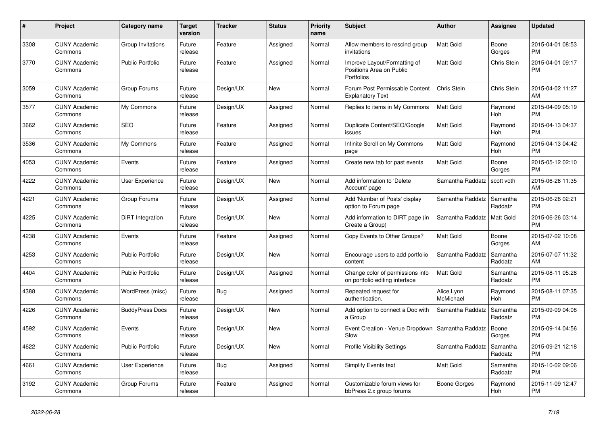| #    | Project                         | <b>Category name</b>    | Target<br>version | <b>Tracker</b> | <b>Status</b> | <b>Priority</b><br>name | <b>Subject</b>                                                         | <b>Author</b>           | <b>Assignee</b>     | <b>Updated</b>                |
|------|---------------------------------|-------------------------|-------------------|----------------|---------------|-------------------------|------------------------------------------------------------------------|-------------------------|---------------------|-------------------------------|
| 3308 | <b>CUNY Academic</b><br>Commons | Group Invitations       | Future<br>release | Feature        | Assigned      | Normal                  | Allow members to rescind group<br>invitations                          | <b>Matt Gold</b>        | Boone<br>Gorges     | 2015-04-01 08:53<br><b>PM</b> |
| 3770 | <b>CUNY Academic</b><br>Commons | <b>Public Portfolio</b> | Future<br>release | Feature        | Assigned      | Normal                  | Improve Layout/Formatting of<br>Positions Area on Public<br>Portfolios | Matt Gold               | Chris Stein         | 2015-04-01 09:17<br><b>PM</b> |
| 3059 | <b>CUNY Academic</b><br>Commons | Group Forums            | Future<br>release | Design/UX      | New           | Normal                  | Forum Post Permissable Content<br><b>Explanatory Text</b>              | Chris Stein             | Chris Stein         | 2015-04-02 11:27<br>AM        |
| 3577 | <b>CUNY Academic</b><br>Commons | My Commons              | Future<br>release | Design/UX      | Assigned      | Normal                  | Replies to items in My Commons                                         | <b>Matt Gold</b>        | Raymond<br>Hoh      | 2015-04-09 05:19<br><b>PM</b> |
| 3662 | <b>CUNY Academic</b><br>Commons | <b>SEO</b>              | Future<br>release | Feature        | Assigned      | Normal                  | Duplicate Content/SEO/Google<br>issues                                 | <b>Matt Gold</b>        | Raymond<br>Hoh      | 2015-04-13 04:37<br><b>PM</b> |
| 3536 | <b>CUNY Academic</b><br>Commons | My Commons              | Future<br>release | Feature        | Assigned      | Normal                  | Infinite Scroll on My Commons<br>page                                  | Matt Gold               | Raymond<br>Hoh      | 2015-04-13 04:42<br><b>PM</b> |
| 4053 | <b>CUNY Academic</b><br>Commons | Events                  | Future<br>release | Feature        | Assigned      | Normal                  | Create new tab for past events                                         | Matt Gold               | Boone<br>Gorges     | 2015-05-12 02:10<br><b>PM</b> |
| 4222 | <b>CUNY Academic</b><br>Commons | <b>User Experience</b>  | Future<br>release | Design/UX      | New           | Normal                  | Add information to 'Delete<br>Account' page                            | Samantha Raddatz        | scott voth          | 2015-06-26 11:35<br>AM        |
| 4221 | <b>CUNY Academic</b><br>Commons | Group Forums            | Future<br>release | Design/UX      | Assigned      | Normal                  | Add 'Number of Posts' display<br>option to Forum page                  | Samantha Raddatz        | Samantha<br>Raddatz | 2015-06-26 02:21<br><b>PM</b> |
| 4225 | <b>CUNY Academic</b><br>Commons | <b>DiRT</b> Integration | Future<br>release | Design/UX      | <b>New</b>    | Normal                  | Add information to DIRT page (in<br>Create a Group)                    | Samantha Raddatz        | <b>Matt Gold</b>    | 2015-06-26 03:14<br><b>PM</b> |
| 4238 | <b>CUNY Academic</b><br>Commons | Events                  | Future<br>release | Feature        | Assigned      | Normal                  | Copy Events to Other Groups?                                           | Matt Gold               | Boone<br>Gorges     | 2015-07-02 10:08<br>AM        |
| 4253 | <b>CUNY Academic</b><br>Commons | <b>Public Portfolio</b> | Future<br>release | Design/UX      | New           | Normal                  | Encourage users to add portfolio<br>content                            | Samantha Raddatz        | Samantha<br>Raddatz | 2015-07-07 11:32<br>AM        |
| 4404 | <b>CUNY Academic</b><br>Commons | <b>Public Portfolio</b> | Future<br>release | Design/UX      | Assigned      | Normal                  | Change color of permissions info<br>on portfolio editing interface     | Matt Gold               | Samantha<br>Raddatz | 2015-08-11 05:28<br><b>PM</b> |
| 4388 | <b>CUNY Academic</b><br>Commons | WordPress (misc)        | Future<br>release | <b>Bug</b>     | Assigned      | Normal                  | Repeated request for<br>authentication.                                | Alice.Lynn<br>McMichael | Raymond<br>Hoh      | 2015-08-11 07:35<br><b>PM</b> |
| 4226 | <b>CUNY Academic</b><br>Commons | <b>BuddyPress Docs</b>  | Future<br>release | Design/UX      | New           | Normal                  | Add option to connect a Doc with<br>a Group                            | Samantha Raddatz        | Samantha<br>Raddatz | 2015-09-09 04:08<br><b>PM</b> |
| 4592 | <b>CUNY Academic</b><br>Commons | Events                  | Future<br>release | Design/UX      | <b>New</b>    | Normal                  | Event Creation - Venue Dropdown   Samantha Raddatz<br>Slow             |                         | Boone<br>Gorges     | 2015-09-14 04:56<br><b>PM</b> |
| 4622 | <b>CUNY Academic</b><br>Commons | <b>Public Portfolio</b> | Future<br>release | Design/UX      | <b>New</b>    | Normal                  | <b>Profile Visibility Settings</b>                                     | Samantha Raddatz        | Samantha<br>Raddatz | 2015-09-21 12:18<br><b>PM</b> |
| 4661 | <b>CUNY Academic</b><br>Commons | <b>User Experience</b>  | Future<br>release | Bug            | Assigned      | Normal                  | <b>Simplify Events text</b>                                            | <b>Matt Gold</b>        | Samantha<br>Raddatz | 2015-10-02 09:06<br><b>PM</b> |
| 3192 | <b>CUNY Academic</b><br>Commons | Group Forums            | Future<br>release | Feature        | Assigned      | Normal                  | Customizable forum views for<br>bbPress 2.x group forums               | Boone Gorges            | Raymond<br>Hoh      | 2015-11-09 12:47<br><b>PM</b> |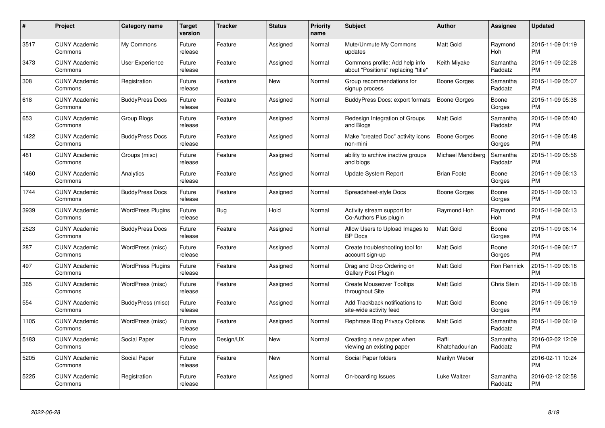| $\#$ | Project                         | Category name            | <b>Target</b><br>version | <b>Tracker</b> | <b>Status</b> | <b>Priority</b><br>name | <b>Subject</b>                                                        | Author                  | <b>Assignee</b>     | <b>Updated</b>                |
|------|---------------------------------|--------------------------|--------------------------|----------------|---------------|-------------------------|-----------------------------------------------------------------------|-------------------------|---------------------|-------------------------------|
| 3517 | <b>CUNY Academic</b><br>Commons | My Commons               | Future<br>release        | Feature        | Assigned      | Normal                  | Mute/Unmute My Commons<br>updates                                     | <b>Matt Gold</b>        | Raymond<br>Hoh      | 2015-11-09 01:19<br><b>PM</b> |
| 3473 | <b>CUNY Academic</b><br>Commons | User Experience          | Future<br>release        | Feature        | Assigned      | Normal                  | Commons profile: Add help info<br>about "Positions" replacing "title" | Keith Miyake            | Samantha<br>Raddatz | 2015-11-09 02:28<br><b>PM</b> |
| 308  | <b>CUNY Academic</b><br>Commons | Registration             | Future<br>release        | Feature        | <b>New</b>    | Normal                  | Group recommendations for<br>signup process                           | Boone Gorges            | Samantha<br>Raddatz | 2015-11-09 05:07<br><b>PM</b> |
| 618  | <b>CUNY Academic</b><br>Commons | <b>BuddyPress Docs</b>   | Future<br>release        | Feature        | Assigned      | Normal                  | BuddyPress Docs: export formats                                       | <b>Boone Gorges</b>     | Boone<br>Gorges     | 2015-11-09 05:38<br><b>PM</b> |
| 653  | <b>CUNY Academic</b><br>Commons | Group Blogs              | Future<br>release        | Feature        | Assigned      | Normal                  | Redesign Integration of Groups<br>and Blogs                           | <b>Matt Gold</b>        | Samantha<br>Raddatz | 2015-11-09 05:40<br><b>PM</b> |
| 1422 | <b>CUNY Academic</b><br>Commons | <b>BuddyPress Docs</b>   | Future<br>release        | Feature        | Assigned      | Normal                  | Make "created Doc" activity icons<br>non-mini                         | <b>Boone Gorges</b>     | Boone<br>Gorges     | 2015-11-09 05:48<br><b>PM</b> |
| 481  | <b>CUNY Academic</b><br>Commons | Groups (misc)            | Future<br>release        | Feature        | Assigned      | Normal                  | ability to archive inactive groups<br>and blogs                       | Michael Mandiberg       | Samantha<br>Raddatz | 2015-11-09 05:56<br><b>PM</b> |
| 1460 | <b>CUNY Academic</b><br>Commons | Analytics                | Future<br>release        | Feature        | Assigned      | Normal                  | Update System Report                                                  | <b>Brian Foote</b>      | Boone<br>Gorges     | 2015-11-09 06:13<br><b>PM</b> |
| 1744 | <b>CUNY Academic</b><br>Commons | <b>BuddyPress Docs</b>   | Future<br>release        | Feature        | Assigned      | Normal                  | Spreadsheet-style Docs                                                | Boone Gorges            | Boone<br>Gorges     | 2015-11-09 06:13<br><b>PM</b> |
| 3939 | <b>CUNY Academic</b><br>Commons | <b>WordPress Plugins</b> | Future<br>release        | Bug            | Hold          | Normal                  | Activity stream support for<br>Co-Authors Plus plugin                 | Raymond Hoh             | Raymond<br>Hoh      | 2015-11-09 06:13<br><b>PM</b> |
| 2523 | <b>CUNY Academic</b><br>Commons | <b>BuddyPress Docs</b>   | Future<br>release        | Feature        | Assigned      | Normal                  | Allow Users to Upload Images to<br><b>BP</b> Docs                     | Matt Gold               | Boone<br>Gorges     | 2015-11-09 06:14<br><b>PM</b> |
| 287  | <b>CUNY Academic</b><br>Commons | WordPress (misc)         | Future<br>release        | Feature        | Assigned      | Normal                  | Create troubleshooting tool for<br>account sign-up                    | <b>Matt Gold</b>        | Boone<br>Gorges     | 2015-11-09 06:17<br><b>PM</b> |
| 497  | <b>CUNY Academic</b><br>Commons | <b>WordPress Plugins</b> | Future<br>release        | Feature        | Assigned      | Normal                  | Drag and Drop Ordering on<br><b>Gallery Post Plugin</b>               | Matt Gold               | Ron Rennick         | 2015-11-09 06:18<br><b>PM</b> |
| 365  | <b>CUNY Academic</b><br>Commons | WordPress (misc)         | Future<br>release        | Feature        | Assigned      | Normal                  | <b>Create Mouseover Tooltips</b><br>throughout Site                   | Matt Gold               | Chris Stein         | 2015-11-09 06:18<br><b>PM</b> |
| 554  | <b>CUNY Academic</b><br>Commons | BuddyPress (misc)        | Future<br>release        | Feature        | Assigned      | Normal                  | Add Trackback notifications to<br>site-wide activity feed             | Matt Gold               | Boone<br>Gorges     | 2015-11-09 06:19<br><b>PM</b> |
| 1105 | <b>CUNY Academic</b><br>Commons | WordPress (misc)         | Future<br>release        | Feature        | Assigned      | Normal                  | Rephrase Blog Privacy Options                                         | <b>Matt Gold</b>        | Samantha<br>Raddatz | 2015-11-09 06:19<br><b>PM</b> |
| 5183 | <b>CUNY Academic</b><br>Commons | Social Paper             | Future<br>release        | Design/UX      | <b>New</b>    | Normal                  | Creating a new paper when<br>viewing an existing paper                | Raffi<br>Khatchadourian | Samantha<br>Raddatz | 2016-02-02 12:09<br><b>PM</b> |
| 5205 | <b>CUNY Academic</b><br>Commons | Social Paper             | Future<br>release        | Feature        | <b>New</b>    | Normal                  | Social Paper folders                                                  | Marilyn Weber           |                     | 2016-02-11 10:24<br><b>PM</b> |
| 5225 | <b>CUNY Academic</b><br>Commons | Registration             | Future<br>release        | Feature        | Assigned      | Normal                  | On-boarding Issues                                                    | Luke Waltzer            | Samantha<br>Raddatz | 2016-02-12 02:58<br>PM        |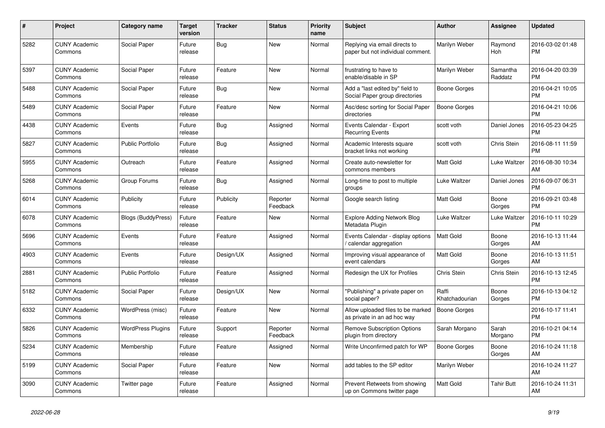| #    | <b>Project</b>                  | Category name             | Target<br>version | <b>Tracker</b> | <b>Status</b>        | <b>Priority</b><br>name | <b>Subject</b>                                                     | <b>Author</b>           | Assignee            | <b>Updated</b>                |
|------|---------------------------------|---------------------------|-------------------|----------------|----------------------|-------------------------|--------------------------------------------------------------------|-------------------------|---------------------|-------------------------------|
| 5282 | <b>CUNY Academic</b><br>Commons | Social Paper              | Future<br>release | <b>Bug</b>     | <b>New</b>           | Normal                  | Replying via email directs to<br>paper but not individual comment. | Marilyn Weber           | Raymond<br>Hoh      | 2016-03-02 01:48<br><b>PM</b> |
| 5397 | <b>CUNY Academic</b><br>Commons | Social Paper              | Future<br>release | Feature        | New                  | Normal                  | frustrating to have to<br>enable/disable in SP                     | Marilyn Weber           | Samantha<br>Raddatz | 2016-04-20 03:39<br><b>PM</b> |
| 5488 | <b>CUNY Academic</b><br>Commons | Social Paper              | Future<br>release | Bug            | <b>New</b>           | Normal                  | Add a "last edited by" field to<br>Social Paper group directories  | Boone Gorges            |                     | 2016-04-21 10:05<br><b>PM</b> |
| 5489 | <b>CUNY Academic</b><br>Commons | <b>Social Paper</b>       | Future<br>release | Feature        | <b>New</b>           | Normal                  | Asc/desc sorting for Social Paper<br>directories                   | <b>Boone Gorges</b>     |                     | 2016-04-21 10:06<br><b>PM</b> |
| 4438 | <b>CUNY Academic</b><br>Commons | Events                    | Future<br>release | Bug            | Assigned             | Normal                  | Events Calendar - Export<br><b>Recurring Events</b>                | scott voth              | Daniel Jones        | 2016-05-23 04:25<br><b>PM</b> |
| 5827 | <b>CUNY Academic</b><br>Commons | <b>Public Portfolio</b>   | Future<br>release | <b>Bug</b>     | Assigned             | Normal                  | Academic Interests square<br>bracket links not working             | scott voth              | Chris Stein         | 2016-08-11 11:59<br><b>PM</b> |
| 5955 | <b>CUNY Academic</b><br>Commons | Outreach                  | Future<br>release | Feature        | Assigned             | Normal                  | Create auto-newsletter for<br>commons members                      | Matt Gold               | Luke Waltzer        | 2016-08-30 10:34<br>AM        |
| 5268 | <b>CUNY Academic</b><br>Commons | Group Forums              | Future<br>release | Bug            | Assigned             | Normal                  | Long-time to post to multiple<br>groups                            | Luke Waltzer            | Daniel Jones        | 2016-09-07 06:31<br><b>PM</b> |
| 6014 | <b>CUNY Academic</b><br>Commons | Publicity                 | Future<br>release | Publicity      | Reporter<br>Feedback | Normal                  | Google search listing                                              | <b>Matt Gold</b>        | Boone<br>Gorges     | 2016-09-21 03:48<br><b>PM</b> |
| 6078 | <b>CUNY Academic</b><br>Commons | <b>Blogs (BuddyPress)</b> | Future<br>release | Feature        | <b>New</b>           | Normal                  | Explore Adding Network Blog<br>Metadata Plugin                     | Luke Waltzer            | Luke Waltzer        | 2016-10-11 10:29<br><b>PM</b> |
| 5696 | <b>CUNY Academic</b><br>Commons | Events                    | Future<br>release | Feature        | Assigned             | Normal                  | Events Calendar - display options<br>/ calendar aggregation        | Matt Gold               | Boone<br>Gorges     | 2016-10-13 11:44<br>AM        |
| 4903 | <b>CUNY Academic</b><br>Commons | Events                    | Future<br>release | Design/UX      | Assigned             | Normal                  | Improving visual appearance of<br>event calendars                  | Matt Gold               | Boone<br>Gorges     | 2016-10-13 11:51<br>AM        |
| 2881 | <b>CUNY Academic</b><br>Commons | <b>Public Portfolio</b>   | Future<br>release | Feature        | Assigned             | Normal                  | Redesign the UX for Profiles                                       | <b>Chris Stein</b>      | Chris Stein         | 2016-10-13 12:45<br><b>PM</b> |
| 5182 | <b>CUNY Academic</b><br>Commons | Social Paper              | Future<br>release | Design/UX      | New                  | Normal                  | "Publishing" a private paper on<br>social paper?                   | Raffi<br>Khatchadourian | Boone<br>Gorges     | 2016-10-13 04:12<br><b>PM</b> |
| 6332 | <b>CUNY Academic</b><br>Commons | WordPress (misc)          | Future<br>release | Feature        | <b>New</b>           | Normal                  | Allow uploaded files to be marked<br>as private in an ad hoc way   | <b>Boone Gorges</b>     |                     | 2016-10-17 11:41<br><b>PM</b> |
| 5826 | <b>CUNY Academic</b><br>Commons | <b>WordPress Plugins</b>  | Future<br>release | Support        | Reporter<br>Feedback | Normal                  | <b>Remove Subscription Options</b><br>plugin from directory        | Sarah Morgano           | Sarah<br>Morgano    | 2016-10-21 04:14<br><b>PM</b> |
| 5234 | <b>CUNY Academic</b><br>Commons | Membership                | Future<br>release | Feature        | Assigned             | Normal                  | Write Unconfirmed patch for WP                                     | Boone Gorges            | Boone<br>Gorges     | 2016-10-24 11:18<br>AM        |
| 5199 | <b>CUNY Academic</b><br>Commons | Social Paper              | Future<br>release | Feature        | New                  | Normal                  | add tables to the SP editor                                        | Marilyn Weber           |                     | 2016-10-24 11:27<br>AM        |
| 3090 | <b>CUNY Academic</b><br>Commons | Twitter page              | Future<br>release | Feature        | Assigned             | Normal                  | Prevent Retweets from showing<br>up on Commons twitter page        | Matt Gold               | <b>Tahir Butt</b>   | 2016-10-24 11:31<br>AM        |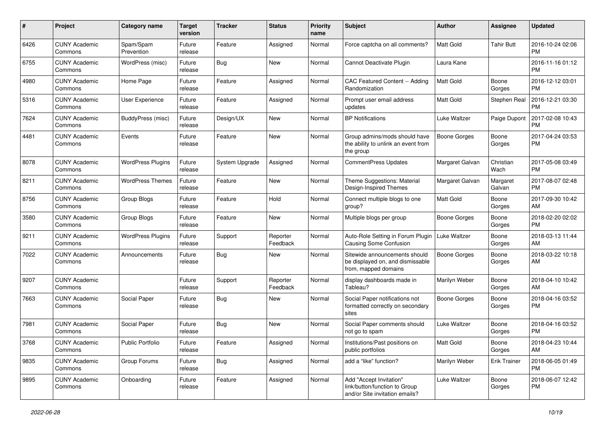| #    | Project                         | <b>Category name</b>     | <b>Target</b><br>version | <b>Tracker</b> | <b>Status</b>        | <b>Priority</b><br>name | <b>Subject</b>                                                                             | Author              | <b>Assignee</b>     | <b>Updated</b>                |
|------|---------------------------------|--------------------------|--------------------------|----------------|----------------------|-------------------------|--------------------------------------------------------------------------------------------|---------------------|---------------------|-------------------------------|
| 6426 | <b>CUNY Academic</b><br>Commons | Spam/Spam<br>Prevention  | Future<br>release        | Feature        | Assigned             | Normal                  | Force captcha on all comments?                                                             | <b>Matt Gold</b>    | <b>Tahir Butt</b>   | 2016-10-24 02:06<br><b>PM</b> |
| 6755 | <b>CUNY Academic</b><br>Commons | WordPress (misc)         | Future<br>release        | Bug            | New                  | Normal                  | Cannot Deactivate Plugin                                                                   | Laura Kane          |                     | 2016-11-16 01:12<br><b>PM</b> |
| 4980 | <b>CUNY Academic</b><br>Commons | Home Page                | Future<br>release        | Feature        | Assigned             | Normal                  | CAC Featured Content -- Adding<br>Randomization                                            | Matt Gold           | Boone<br>Gorges     | 2016-12-12 03:01<br><b>PM</b> |
| 5316 | <b>CUNY Academic</b><br>Commons | <b>User Experience</b>   | Future<br>release        | Feature        | Assigned             | Normal                  | Prompt user email address<br>updates                                                       | Matt Gold           | Stephen Real        | 2016-12-21 03:30<br><b>PM</b> |
| 7624 | <b>CUNY Academic</b><br>Commons | BuddyPress (misc)        | Future<br>release        | Design/UX      | New                  | Normal                  | <b>BP Notifications</b>                                                                    | Luke Waltzer        | Paige Dupont        | 2017-02-08 10:43<br><b>PM</b> |
| 4481 | <b>CUNY Academic</b><br>Commons | Events                   | Future<br>release        | Feature        | <b>New</b>           | Normal                  | Group admins/mods should have<br>the ability to unlink an event from<br>the group          | <b>Boone Gorges</b> | Boone<br>Gorges     | 2017-04-24 03:53<br><b>PM</b> |
| 8078 | <b>CUNY Academic</b><br>Commons | <b>WordPress Plugins</b> | Future<br>release        | System Upgrade | Assigned             | Normal                  | <b>CommentPress Updates</b>                                                                | Margaret Galvan     | Christian<br>Wach   | 2017-05-08 03:49<br><b>PM</b> |
| 8211 | <b>CUNY Academic</b><br>Commons | <b>WordPress Themes</b>  | Future<br>release        | Feature        | <b>New</b>           | Normal                  | Theme Suggestions: Material<br>Design-Inspired Themes                                      | Margaret Galvan     | Margaret<br>Galvan  | 2017-08-07 02:48<br><b>PM</b> |
| 8756 | <b>CUNY Academic</b><br>Commons | Group Blogs              | Future<br>release        | Feature        | Hold                 | Normal                  | Connect multiple blogs to one<br>group?                                                    | Matt Gold           | Boone<br>Gorges     | 2017-09-30 10:42<br>AM        |
| 3580 | <b>CUNY Academic</b><br>Commons | Group Blogs              | Future<br>release        | Feature        | New                  | Normal                  | Multiple blogs per group                                                                   | <b>Boone Gorges</b> | Boone<br>Gorges     | 2018-02-20 02:02<br><b>PM</b> |
| 9211 | <b>CUNY Academic</b><br>Commons | <b>WordPress Plugins</b> | Future<br>release        | Support        | Reporter<br>Feedback | Normal                  | Auto-Role Setting in Forum Plugin<br>Causing Some Confusion                                | Luke Waltzer        | Boone<br>Gorges     | 2018-03-13 11:44<br>AM        |
| 7022 | <b>CUNY Academic</b><br>Commons | Announcements            | Future<br>release        | Bug            | New                  | Normal                  | Sitewide announcements should<br>be displayed on, and dismissable<br>from, mapped domains  | Boone Gorges        | Boone<br>Gorges     | 2018-03-22 10:18<br>AM        |
| 9207 | <b>CUNY Academic</b><br>Commons |                          | Future<br>release        | Support        | Reporter<br>Feedback | Normal                  | display dashboards made in<br>Tableau?                                                     | Marilyn Weber       | Boone<br>Gorges     | 2018-04-10 10:42<br>AM        |
| 7663 | <b>CUNY Academic</b><br>Commons | Social Paper             | Future<br>release        | <b>Bug</b>     | New                  | Normal                  | Social Paper notifications not<br>formatted correctly on secondary<br>sites                | Boone Gorges        | Boone<br>Gorges     | 2018-04-16 03:52<br><b>PM</b> |
| 7981 | <b>CUNY Academic</b><br>Commons | Social Paper             | Future<br>release        | <b>Bug</b>     | <b>New</b>           | Normal                  | Social Paper comments should<br>not go to spam                                             | Luke Waltzer        | Boone<br>Gorges     | 2018-04-16 03:52<br>PM        |
| 3768 | <b>CUNY Academic</b><br>Commons | Public Portfolio         | Future<br>release        | Feature        | Assigned             | Normal                  | Institutions/Past positions on<br>public portfolios                                        | Matt Gold           | Boone<br>Gorges     | 2018-04-23 10:44<br>AM        |
| 9835 | <b>CUNY Academic</b><br>Commons | Group Forums             | Future<br>release        | <b>Bug</b>     | Assigned             | Normal                  | add a "like" function?                                                                     | Marilyn Weber       | <b>Erik Trainer</b> | 2018-06-05 01:49<br>PM        |
| 9895 | <b>CUNY Academic</b><br>Commons | Onboarding               | Future<br>release        | Feature        | Assigned             | Normal                  | Add "Accept Invitation"<br>link/button/function to Group<br>and/or Site invitation emails? | Luke Waltzer        | Boone<br>Gorges     | 2018-06-07 12:42<br><b>PM</b> |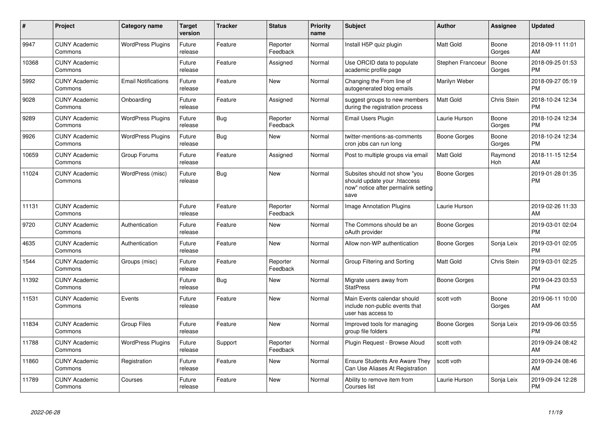| $\pmb{\#}$ | Project                         | Category name              | <b>Target</b><br>version | <b>Tracker</b> | <b>Status</b>        | <b>Priority</b><br>name | <b>Subject</b>                                                                                               | Author            | <b>Assignee</b>       | <b>Updated</b>                |
|------------|---------------------------------|----------------------------|--------------------------|----------------|----------------------|-------------------------|--------------------------------------------------------------------------------------------------------------|-------------------|-----------------------|-------------------------------|
| 9947       | <b>CUNY Academic</b><br>Commons | <b>WordPress Plugins</b>   | Future<br>release        | Feature        | Reporter<br>Feedback | Normal                  | Install H5P quiz plugin                                                                                      | <b>Matt Gold</b>  | Boone<br>Gorges       | 2018-09-11 11:01<br>AM        |
| 10368      | <b>CUNY Academic</b><br>Commons |                            | Future<br>release        | Feature        | Assigned             | Normal                  | Use ORCID data to populate<br>academic profile page                                                          | Stephen Francoeur | Boone<br>Gorges       | 2018-09-25 01:53<br><b>PM</b> |
| 5992       | <b>CUNY Academic</b><br>Commons | <b>Email Notifications</b> | Future<br>release        | Feature        | <b>New</b>           | Normal                  | Changing the From line of<br>autogenerated blog emails                                                       | Marilyn Weber     |                       | 2018-09-27 05:19<br><b>PM</b> |
| 9028       | <b>CUNY Academic</b><br>Commons | Onboarding                 | Future<br>release        | Feature        | Assigned             | Normal                  | suggest groups to new members<br>during the registration process                                             | Matt Gold         | Chris Stein           | 2018-10-24 12:34<br><b>PM</b> |
| 9289       | <b>CUNY Academic</b><br>Commons | <b>WordPress Plugins</b>   | Future<br>release        | Bug            | Reporter<br>Feedback | Normal                  | <b>Email Users Plugin</b>                                                                                    | Laurie Hurson     | Boone<br>Gorges       | 2018-10-24 12:34<br><b>PM</b> |
| 9926       | <b>CUNY Academic</b><br>Commons | <b>WordPress Plugins</b>   | Future<br>release        | Bug            | <b>New</b>           | Normal                  | twitter-mentions-as-comments<br>cron jobs can run long                                                       | Boone Gorges      | Boone<br>Gorges       | 2018-10-24 12:34<br><b>PM</b> |
| 10659      | <b>CUNY Academic</b><br>Commons | Group Forums               | Future<br>release        | Feature        | Assigned             | Normal                  | Post to multiple groups via email                                                                            | Matt Gold         | Raymond<br><b>Hoh</b> | 2018-11-15 12:54<br>AM        |
| 11024      | <b>CUNY Academic</b><br>Commons | WordPress (misc)           | Future<br>release        | Bug            | <b>New</b>           | Normal                  | Subsites should not show "you<br>should update your .htaccess<br>now" notice after permalink setting<br>save | Boone Gorges      |                       | 2019-01-28 01:35<br><b>PM</b> |
| 11131      | <b>CUNY Academic</b><br>Commons |                            | Future<br>release        | Feature        | Reporter<br>Feedback | Normal                  | Image Annotation Plugins                                                                                     | Laurie Hurson     |                       | 2019-02-26 11:33<br>AM        |
| 9720       | <b>CUNY Academic</b><br>Commons | Authentication             | Future<br>release        | Feature        | <b>New</b>           | Normal                  | The Commons should be an<br>oAuth provider                                                                   | Boone Gorges      |                       | 2019-03-01 02:04<br><b>PM</b> |
| 4635       | <b>CUNY Academic</b><br>Commons | Authentication             | Future<br>release        | Feature        | <b>New</b>           | Normal                  | Allow non-WP authentication                                                                                  | Boone Gorges      | Sonja Leix            | 2019-03-01 02:05<br><b>PM</b> |
| 1544       | <b>CUNY Academic</b><br>Commons | Groups (misc)              | Future<br>release        | Feature        | Reporter<br>Feedback | Normal                  | Group Filtering and Sorting                                                                                  | <b>Matt Gold</b>  | Chris Stein           | 2019-03-01 02:25<br><b>PM</b> |
| 11392      | <b>CUNY Academic</b><br>Commons |                            | Future<br>release        | <b>Bug</b>     | <b>New</b>           | Normal                  | Migrate users away from<br><b>StatPress</b>                                                                  | Boone Gorges      |                       | 2019-04-23 03:53<br><b>PM</b> |
| 11531      | <b>CUNY Academic</b><br>Commons | Events                     | Future<br>release        | Feature        | <b>New</b>           | Normal                  | Main Events calendar should<br>include non-public events that<br>user has access to                          | scott voth        | Boone<br>Gorges       | 2019-06-11 10:00<br>AM        |
| 11834      | <b>CUNY Academic</b><br>Commons | <b>Group Files</b>         | Future<br>release        | Feature        | <b>New</b>           | Normal                  | Improved tools for managing<br>group file folders                                                            | Boone Gorges      | Sonja Leix            | 2019-09-06 03:55<br><b>PM</b> |
| 11788      | <b>CUNY Academic</b><br>Commons | <b>WordPress Plugins</b>   | Future<br>release        | Support        | Reporter<br>Feedback | Normal                  | Plugin Request - Browse Aloud                                                                                | scott voth        |                       | 2019-09-24 08:42<br>AM        |
| 11860      | <b>CUNY Academic</b><br>Commons | Registration               | Future<br>release        | Feature        | <b>New</b>           | Normal                  | <b>Ensure Students Are Aware They</b><br>Can Use Aliases At Registration                                     | scott voth        |                       | 2019-09-24 08:46<br>AM        |
| 11789      | <b>CUNY Academic</b><br>Commons | Courses                    | Future<br>release        | Feature        | <b>New</b>           | Normal                  | Ability to remove item from<br>Courses list                                                                  | Laurie Hurson     | Sonja Leix            | 2019-09-24 12:28<br><b>PM</b> |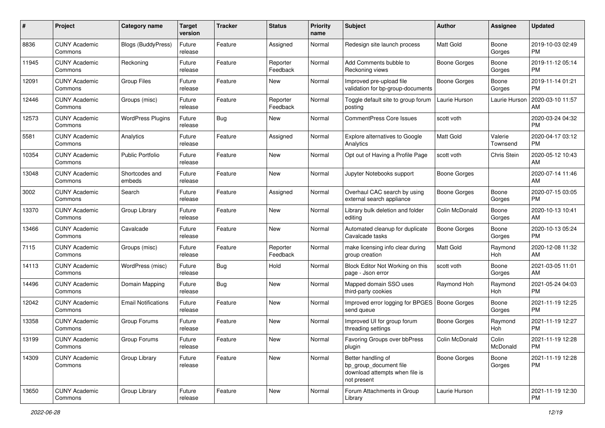| #     | Project                         | <b>Category name</b>       | <b>Target</b><br>version | <b>Tracker</b> | <b>Status</b>        | <b>Priority</b><br>name | <b>Subject</b>                                                                                | Author              | <b>Assignee</b>     | <b>Updated</b>                |
|-------|---------------------------------|----------------------------|--------------------------|----------------|----------------------|-------------------------|-----------------------------------------------------------------------------------------------|---------------------|---------------------|-------------------------------|
| 8836  | <b>CUNY Academic</b><br>Commons | <b>Blogs (BuddyPress)</b>  | Future<br>release        | Feature        | Assigned             | Normal                  | Redesign site launch process                                                                  | <b>Matt Gold</b>    | Boone<br>Gorges     | 2019-10-03 02:49<br>PM        |
| 11945 | <b>CUNY Academic</b><br>Commons | Reckoning                  | Future<br>release        | Feature        | Reporter<br>Feedback | Normal                  | Add Comments bubble to<br>Reckoning views                                                     | <b>Boone Gorges</b> | Boone<br>Gorges     | 2019-11-12 05:14<br><b>PM</b> |
| 12091 | <b>CUNY Academic</b><br>Commons | <b>Group Files</b>         | Future<br>release        | Feature        | New                  | Normal                  | Improved pre-upload file<br>validation for bp-group-documents                                 | <b>Boone Gorges</b> | Boone<br>Gorges     | 2019-11-14 01:21<br><b>PM</b> |
| 12446 | <b>CUNY Academic</b><br>Commons | Groups (misc)              | Future<br>release        | Feature        | Reporter<br>Feedback | Normal                  | Toggle default site to group forum<br>posting                                                 | Laurie Hurson       | Laurie Hurson       | 2020-03-10 11:57<br>AM        |
| 12573 | <b>CUNY Academic</b><br>Commons | <b>WordPress Plugins</b>   | Future<br>release        | <b>Bug</b>     | <b>New</b>           | Normal                  | <b>CommentPress Core Issues</b>                                                               | scott voth          |                     | 2020-03-24 04:32<br><b>PM</b> |
| 5581  | <b>CUNY Academic</b><br>Commons | Analytics                  | Future<br>release        | Feature        | Assigned             | Normal                  | Explore alternatives to Google<br>Analytics                                                   | Matt Gold           | Valerie<br>Townsend | 2020-04-17 03:12<br>PM        |
| 10354 | <b>CUNY Academic</b><br>Commons | <b>Public Portfolio</b>    | Future<br>release        | Feature        | <b>New</b>           | Normal                  | Opt out of Having a Profile Page                                                              | scott voth          | Chris Stein         | 2020-05-12 10:43<br>AM        |
| 13048 | <b>CUNY Academic</b><br>Commons | Shortcodes and<br>embeds   | Future<br>release        | Feature        | <b>New</b>           | Normal                  | Jupyter Notebooks support                                                                     | <b>Boone Gorges</b> |                     | 2020-07-14 11:46<br>AM        |
| 3002  | <b>CUNY Academic</b><br>Commons | Search                     | Future<br>release        | Feature        | Assigned             | Normal                  | Overhaul CAC search by using<br>external search appliance                                     | <b>Boone Gorges</b> | Boone<br>Gorges     | 2020-07-15 03:05<br><b>PM</b> |
| 13370 | <b>CUNY Academic</b><br>Commons | Group Library              | Future<br>release        | Feature        | <b>New</b>           | Normal                  | Library bulk deletion and folder<br>editing                                                   | Colin McDonald      | Boone<br>Gorges     | 2020-10-13 10:41<br>AM        |
| 13466 | <b>CUNY Academic</b><br>Commons | Cavalcade                  | Future<br>release        | Feature        | New                  | Normal                  | Automated cleanup for duplicate<br>Cavalcade tasks                                            | Boone Gorges        | Boone<br>Gorges     | 2020-10-13 05:24<br>PM        |
| 7115  | <b>CUNY Academic</b><br>Commons | Groups (misc)              | Future<br>release        | Feature        | Reporter<br>Feedback | Normal                  | make licensing info clear during<br>group creation                                            | Matt Gold           | Raymond<br>Hoh      | 2020-12-08 11:32<br>AM        |
| 14113 | <b>CUNY Academic</b><br>Commons | WordPress (misc)           | Future<br>release        | <b>Bug</b>     | Hold                 | Normal                  | Block Editor Not Working on this<br>page - Json error                                         | scott voth          | Boone<br>Gorges     | 2021-03-05 11:01<br>AM        |
| 14496 | <b>CUNY Academic</b><br>Commons | Domain Mapping             | Future<br>release        | <b>Bug</b>     | <b>New</b>           | Normal                  | Mapped domain SSO uses<br>third-party cookies                                                 | Raymond Hoh         | Raymond<br>Hoh      | 2021-05-24 04:03<br>PM        |
| 12042 | <b>CUNY Academic</b><br>Commons | <b>Email Notifications</b> | Future<br>release        | Feature        | <b>New</b>           | Normal                  | Improved error logging for BPGES<br>send queue                                                | <b>Boone Gorges</b> | Boone<br>Gorges     | 2021-11-19 12:25<br><b>PM</b> |
| 13358 | <b>CUNY Academic</b><br>Commons | Group Forums               | Future<br>release        | Feature        | <b>New</b>           | Normal                  | Improved UI for group forum<br>threading settings                                             | <b>Boone Gorges</b> | Raymond<br>Hoh      | 2021-11-19 12:27<br><b>PM</b> |
| 13199 | <b>CUNY Academic</b><br>Commons | Group Forums               | Future<br>release        | Feature        | New                  | Normal                  | Favoring Groups over bbPress<br>plugin                                                        | Colin McDonald      | Colin<br>McDonald   | 2021-11-19 12:28<br>PM        |
| 14309 | <b>CUNY Academic</b><br>Commons | Group Library              | Future<br>release        | Feature        | New                  | Normal                  | Better handling of<br>bp_group_document file<br>download attempts when file is<br>not present | <b>Boone Gorges</b> | Boone<br>Gorges     | 2021-11-19 12:28<br><b>PM</b> |
| 13650 | <b>CUNY Academic</b><br>Commons | Group Library              | Future<br>release        | Feature        | New                  | Normal                  | Forum Attachments in Group<br>Library                                                         | Laurie Hurson       |                     | 2021-11-19 12:30<br><b>PM</b> |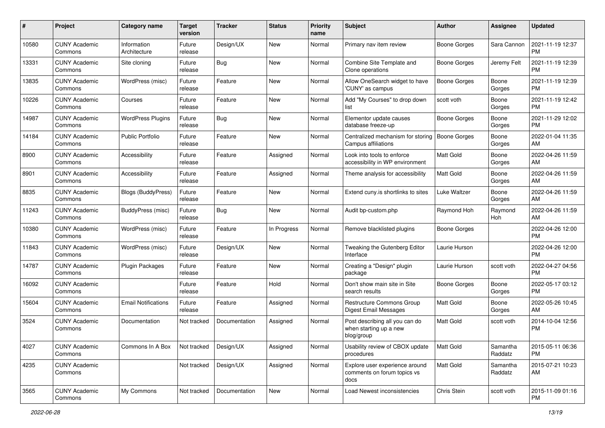| #     | Project                         | <b>Category name</b>        | <b>Target</b><br>version | <b>Tracker</b> | <b>Status</b> | <b>Priority</b><br>name | <b>Subject</b>                                                         | Author              | <b>Assignee</b>     | <b>Updated</b>                |
|-------|---------------------------------|-----------------------------|--------------------------|----------------|---------------|-------------------------|------------------------------------------------------------------------|---------------------|---------------------|-------------------------------|
| 10580 | <b>CUNY Academic</b><br>Commons | Information<br>Architecture | Future<br>release        | Design/UX      | <b>New</b>    | Normal                  | Primary nav item review                                                | <b>Boone Gorges</b> | Sara Cannon         | 2021-11-19 12:37<br>PM        |
| 13331 | <b>CUNY Academic</b><br>Commons | Site cloning                | Future<br>release        | <b>Bug</b>     | <b>New</b>    | Normal                  | Combine Site Template and<br>Clone operations                          | <b>Boone Gorges</b> | Jeremy Felt         | 2021-11-19 12:39<br><b>PM</b> |
| 13835 | <b>CUNY Academic</b><br>Commons | WordPress (misc)            | Future<br>release        | Feature        | <b>New</b>    | Normal                  | Allow OneSearch widget to have<br>'CUNY' as campus                     | Boone Gorges        | Boone<br>Gorges     | 2021-11-19 12:39<br><b>PM</b> |
| 10226 | <b>CUNY Academic</b><br>Commons | Courses                     | Future<br>release        | Feature        | <b>New</b>    | Normal                  | Add "My Courses" to drop down<br>list                                  | scott voth          | Boone<br>Gorges     | 2021-11-19 12:42<br><b>PM</b> |
| 14987 | <b>CUNY Academic</b><br>Commons | <b>WordPress Plugins</b>    | Future<br>release        | <b>Bug</b>     | <b>New</b>    | Normal                  | Elementor update causes<br>database freeze-up                          | Boone Gorges        | Boone<br>Gorges     | 2021-11-29 12:02<br><b>PM</b> |
| 14184 | <b>CUNY Academic</b><br>Commons | <b>Public Portfolio</b>     | Future<br>release        | Feature        | <b>New</b>    | Normal                  | Centralized mechanism for storing<br>Campus affiliations               | Boone Gorges        | Boone<br>Gorges     | 2022-01-04 11:35<br>AM        |
| 8900  | <b>CUNY Academic</b><br>Commons | Accessibility               | Future<br>release        | Feature        | Assigned      | Normal                  | Look into tools to enforce<br>accessibility in WP environment          | Matt Gold           | Boone<br>Gorges     | 2022-04-26 11:59<br>AM        |
| 8901  | <b>CUNY Academic</b><br>Commons | Accessibility               | Future<br>release        | Feature        | Assigned      | Normal                  | Theme analysis for accessibility                                       | <b>Matt Gold</b>    | Boone<br>Gorges     | 2022-04-26 11:59<br>AM        |
| 8835  | <b>CUNY Academic</b><br>Commons | Blogs (BuddyPress)          | Future<br>release        | Feature        | <b>New</b>    | Normal                  | Extend cuny.is shortlinks to sites                                     | Luke Waltzer        | Boone<br>Gorges     | 2022-04-26 11:59<br>AM        |
| 11243 | <b>CUNY Academic</b><br>Commons | BuddyPress (misc)           | Future<br>release        | <b>Bug</b>     | <b>New</b>    | Normal                  | Audit bp-custom.php                                                    | Raymond Hoh         | Raymond<br>Hoh      | 2022-04-26 11:59<br>AM        |
| 10380 | <b>CUNY Academic</b><br>Commons | WordPress (misc)            | Future<br>release        | Feature        | In Progress   | Normal                  | Remove blacklisted plugins                                             | Boone Gorges        |                     | 2022-04-26 12:00<br><b>PM</b> |
| 11843 | <b>CUNY Academic</b><br>Commons | WordPress (misc)            | Future<br>release        | Design/UX      | <b>New</b>    | Normal                  | Tweaking the Gutenberg Editor<br>Interface                             | Laurie Hurson       |                     | 2022-04-26 12:00<br><b>PM</b> |
| 14787 | <b>CUNY Academic</b><br>Commons | <b>Plugin Packages</b>      | Future<br>release        | Feature        | <b>New</b>    | Normal                  | Creating a "Design" plugin<br>package                                  | Laurie Hurson       | scott voth          | 2022-04-27 04:56<br><b>PM</b> |
| 16092 | <b>CUNY Academic</b><br>Commons |                             | Future<br>release        | Feature        | Hold          | Normal                  | Don't show main site in Site<br>search results                         | Boone Gorges        | Boone<br>Gorges     | 2022-05-17 03:12<br>PM        |
| 15604 | <b>CUNY Academic</b><br>Commons | <b>Email Notifications</b>  | Future<br>release        | Feature        | Assigned      | Normal                  | Restructure Commons Group<br>Digest Email Messages                     | <b>Matt Gold</b>    | Boone<br>Gorges     | 2022-05-26 10:45<br>AM        |
| 3524  | <b>CUNY Academic</b><br>Commons | Documentation               | Not tracked              | Documentation  | Assigned      | Normal                  | Post describing all you can do<br>when starting up a new<br>blog/group | <b>Matt Gold</b>    | scott voth          | 2014-10-04 12:56<br><b>PM</b> |
| 4027  | <b>CUNY Academic</b><br>Commons | Commons In A Box            | Not tracked              | Design/UX      | Assigned      | Normal                  | Usability review of CBOX update<br>procedures                          | Matt Gold           | Samantha<br>Raddatz | 2015-05-11 06:36<br><b>PM</b> |
| 4235  | <b>CUNY Academic</b><br>Commons |                             | Not tracked              | Design/UX      | Assigned      | Normal                  | Explore user experience around<br>comments on forum topics vs<br>docs  | Matt Gold           | Samantha<br>Raddatz | 2015-07-21 10:23<br>AM        |
| 3565  | <b>CUNY Academic</b><br>Commons | My Commons                  | Not tracked              | Documentation  | New           | Normal                  | Load Newest inconsistencies                                            | Chris Stein         | scott voth          | 2015-11-09 01:16<br><b>PM</b> |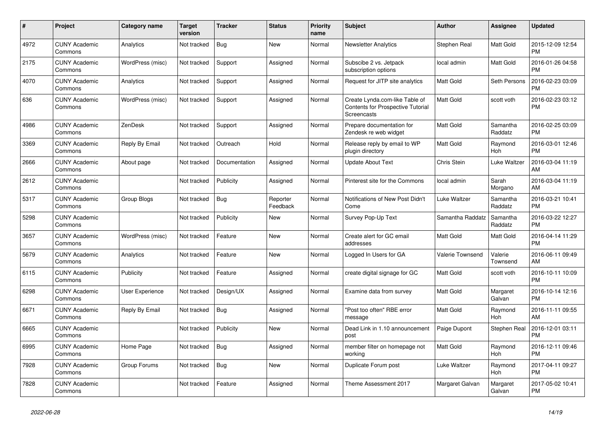| $\#$ | Project                         | Category name    | <b>Target</b><br>version | <b>Tracker</b> | <b>Status</b>        | <b>Priority</b><br>name | <b>Subject</b>                                                                            | Author           | <b>Assignee</b>       | <b>Updated</b>                |
|------|---------------------------------|------------------|--------------------------|----------------|----------------------|-------------------------|-------------------------------------------------------------------------------------------|------------------|-----------------------|-------------------------------|
| 4972 | <b>CUNY Academic</b><br>Commons | Analytics        | Not tracked              | Bug            | <b>New</b>           | Normal                  | <b>Newsletter Analytics</b>                                                               | Stephen Real     | Matt Gold             | 2015-12-09 12:54<br><b>PM</b> |
| 2175 | <b>CUNY Academic</b><br>Commons | WordPress (misc) | Not tracked              | Support        | Assigned             | Normal                  | Subscibe 2 vs. Jetpack<br>subscription options                                            | local admin      | Matt Gold             | 2016-01-26 04:58<br><b>PM</b> |
| 4070 | <b>CUNY Academic</b><br>Commons | Analytics        | Not tracked              | Support        | Assigned             | Normal                  | Request for JITP site analytics                                                           | Matt Gold        | Seth Persons          | 2016-02-23 03:09<br><b>PM</b> |
| 636  | <b>CUNY Academic</b><br>Commons | WordPress (misc) | Not tracked              | Support        | Assigned             | Normal                  | Create Lynda.com-like Table of<br><b>Contents for Prospective Tutorial</b><br>Screencasts | Matt Gold        | scott voth            | 2016-02-23 03:12<br><b>PM</b> |
| 4986 | <b>CUNY Academic</b><br>Commons | ZenDesk          | Not tracked              | Support        | Assigned             | Normal                  | Prepare documentation for<br>Zendesk re web widget                                        | Matt Gold        | Samantha<br>Raddatz   | 2016-02-25 03:09<br><b>PM</b> |
| 3369 | <b>CUNY Academic</b><br>Commons | Reply By Email   | Not tracked              | Outreach       | Hold                 | Normal                  | Release reply by email to WP<br>plugin directory                                          | Matt Gold        | Raymond<br><b>Hoh</b> | 2016-03-01 12:46<br><b>PM</b> |
| 2666 | <b>CUNY Academic</b><br>Commons | About page       | Not tracked              | Documentation  | Assigned             | Normal                  | Update About Text                                                                         | Chris Stein      | Luke Waltzer          | 2016-03-04 11:19<br>AM        |
| 2612 | <b>CUNY Academic</b><br>Commons |                  | Not tracked              | Publicity      | Assigned             | Normal                  | Pinterest site for the Commons                                                            | local admin      | Sarah<br>Morgano      | 2016-03-04 11:19<br>AM        |
| 5317 | <b>CUNY Academic</b><br>Commons | Group Blogs      | Not tracked              | <b>Bug</b>     | Reporter<br>Feedback | Normal                  | Notifications of New Post Didn't<br>Come                                                  | Luke Waltzer     | Samantha<br>Raddatz   | 2016-03-21 10:41<br><b>PM</b> |
| 5298 | <b>CUNY Academic</b><br>Commons |                  | Not tracked              | Publicity      | <b>New</b>           | Normal                  | Survey Pop-Up Text                                                                        | Samantha Raddatz | Samantha<br>Raddatz   | 2016-03-22 12:27<br><b>PM</b> |
| 3657 | <b>CUNY Academic</b><br>Commons | WordPress (misc) | Not tracked              | Feature        | <b>New</b>           | Normal                  | Create alert for GC email<br>addresses                                                    | Matt Gold        | <b>Matt Gold</b>      | 2016-04-14 11:29<br><b>PM</b> |
| 5679 | <b>CUNY Academic</b><br>Commons | Analytics        | Not tracked              | Feature        | New                  | Normal                  | Logged In Users for GA                                                                    | Valerie Townsend | Valerie<br>Townsend   | 2016-06-11 09:49<br>AM        |
| 6115 | <b>CUNY Academic</b><br>Commons | Publicity        | Not tracked              | Feature        | Assigned             | Normal                  | create digital signage for GC                                                             | Matt Gold        | scott voth            | 2016-10-11 10:09<br><b>PM</b> |
| 6298 | <b>CUNY Academic</b><br>Commons | User Experience  | Not tracked              | Design/UX      | Assigned             | Normal                  | Examine data from survey                                                                  | Matt Gold        | Margaret<br>Galvan    | 2016-10-14 12:16<br><b>PM</b> |
| 6671 | <b>CUNY Academic</b><br>Commons | Reply By Email   | Not tracked              | Bug            | Assigned             | Normal                  | "Post too often" RBE error<br>message                                                     | Matt Gold        | Raymond<br><b>Hoh</b> | 2016-11-11 09:55<br>AM        |
| 6665 | <b>CUNY Academic</b><br>Commons |                  | Not tracked              | Publicity      | <b>New</b>           | Normal                  | Dead Link in 1.10 announcement<br>post                                                    | Paige Dupont     | Stephen Real          | 2016-12-01 03:11<br><b>PM</b> |
| 6995 | <b>CUNY Academic</b><br>Commons | Home Page        | Not tracked              | Bug            | Assigned             | Normal                  | member filter on homepage not<br>workina                                                  | Matt Gold        | Raymond<br>Hoh        | 2016-12-11 09:46<br><b>PM</b> |
| 7928 | <b>CUNY Academic</b><br>Commons | Group Forums     | Not tracked              | Bug            | <b>New</b>           | Normal                  | Duplicate Forum post                                                                      | Luke Waltzer     | Raymond<br>Hoh        | 2017-04-11 09:27<br><b>PM</b> |
| 7828 | <b>CUNY Academic</b><br>Commons |                  | Not tracked              | Feature        | Assigned             | Normal                  | Theme Assessment 2017                                                                     | Margaret Galvan  | Margaret<br>Galvan    | 2017-05-02 10:41<br>PM        |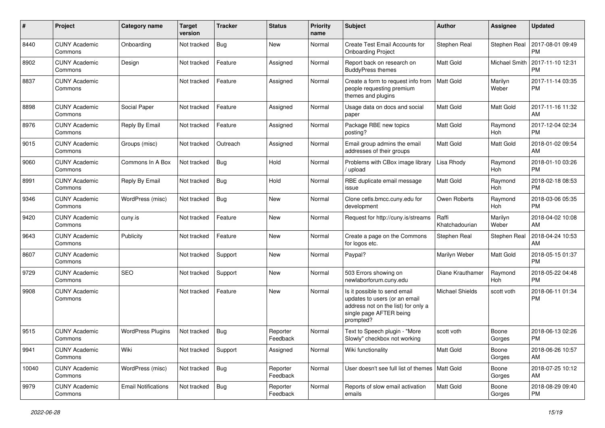| #     | Project                         | <b>Category name</b>       | <b>Target</b><br>version | <b>Tracker</b> | <b>Status</b>        | <b>Priority</b><br>name | <b>Subject</b>                                                                                                                               | Author                  | <b>Assignee</b>       | <b>Updated</b>                |
|-------|---------------------------------|----------------------------|--------------------------|----------------|----------------------|-------------------------|----------------------------------------------------------------------------------------------------------------------------------------------|-------------------------|-----------------------|-------------------------------|
| 8440  | <b>CUNY Academic</b><br>Commons | Onboarding                 | Not tracked              | Bug            | <b>New</b>           | Normal                  | <b>Create Test Email Accounts for</b><br><b>Onboarding Project</b>                                                                           | Stephen Real            | Stephen Real          | 2017-08-01 09:49<br>PМ        |
| 8902  | <b>CUNY Academic</b><br>Commons | Design                     | Not tracked              | Feature        | Assigned             | Normal                  | Report back on research on<br><b>BuddyPress themes</b>                                                                                       | Matt Gold               | Michael Smith         | 2017-11-10 12:31<br><b>PM</b> |
| 8837  | <b>CUNY Academic</b><br>Commons |                            | Not tracked              | Feature        | Assigned             | Normal                  | Create a form to request info from<br>people requesting premium<br>themes and plugins                                                        | Matt Gold               | Marilyn<br>Weber      | 2017-11-14 03:35<br><b>PM</b> |
| 8898  | <b>CUNY Academic</b><br>Commons | Social Paper               | Not tracked              | Feature        | Assigned             | Normal                  | Usage data on docs and social<br>paper                                                                                                       | Matt Gold               | <b>Matt Gold</b>      | 2017-11-16 11:32<br>AM        |
| 8976  | <b>CUNY Academic</b><br>Commons | Reply By Email             | Not tracked              | Feature        | Assigned             | Normal                  | Package RBE new topics<br>posting?                                                                                                           | Matt Gold               | Raymond<br>Hoh        | 2017-12-04 02:34<br><b>PM</b> |
| 9015  | <b>CUNY Academic</b><br>Commons | Groups (misc)              | Not tracked              | Outreach       | Assigned             | Normal                  | Email group admins the email<br>addresses of their groups                                                                                    | Matt Gold               | <b>Matt Gold</b>      | 2018-01-02 09:54<br>AM        |
| 9060  | <b>CUNY Academic</b><br>Commons | Commons In A Box           | Not tracked              | <b>Bug</b>     | Hold                 | Normal                  | Problems with CBox image library<br>upload                                                                                                   | Lisa Rhody              | Raymond<br>Hoh        | 2018-01-10 03:26<br><b>PM</b> |
| 8991  | <b>CUNY Academic</b><br>Commons | Reply By Email             | Not tracked              | <b>Bug</b>     | Hold                 | Normal                  | RBE duplicate email message<br>issue                                                                                                         | Matt Gold               | Raymond<br>Hoh        | 2018-02-18 08:53<br><b>PM</b> |
| 9346  | <b>CUNY Academic</b><br>Commons | WordPress (misc)           | Not tracked              | <b>Bug</b>     | <b>New</b>           | Normal                  | Clone cetls.bmcc.cuny.edu for<br>development                                                                                                 | Owen Roberts            | Raymond<br><b>Hoh</b> | 2018-03-06 05:35<br><b>PM</b> |
| 9420  | <b>CUNY Academic</b><br>Commons | cuny.is                    | Not tracked              | Feature        | New                  | Normal                  | Request for http://cuny.is/streams                                                                                                           | Raffi<br>Khatchadourian | Marilyn<br>Weber      | 2018-04-02 10:08<br>AM        |
| 9643  | <b>CUNY Academic</b><br>Commons | Publicity                  | Not tracked              | Feature        | New                  | Normal                  | Create a page on the Commons<br>for logos etc.                                                                                               | Stephen Real            | Stephen Real          | 2018-04-24 10:53<br>AM        |
| 8607  | <b>CUNY Academic</b><br>Commons |                            | Not tracked              | Support        | <b>New</b>           | Normal                  | Paypal?                                                                                                                                      | Marilyn Weber           | Matt Gold             | 2018-05-15 01:37<br><b>PM</b> |
| 9729  | <b>CUNY Academic</b><br>Commons | <b>SEO</b>                 | Not tracked              | Support        | New                  | Normal                  | 503 Errors showing on<br>newlaborforum.cuny.edu                                                                                              | Diane Krauthamer        | Raymond<br>Hoh        | 2018-05-22 04:48<br><b>PM</b> |
| 9908  | <b>CUNY Academic</b><br>Commons |                            | Not tracked              | Feature        | New                  | Normal                  | Is it possible to send email<br>updates to users (or an email<br>address not on the list) for only a<br>single page AFTER being<br>prompted? | <b>Michael Shields</b>  | scott voth            | 2018-06-11 01:34<br>РM        |
| 9515  | <b>CUNY Academic</b><br>Commons | <b>WordPress Plugins</b>   | Not tracked              | <b>Bug</b>     | Reporter<br>Feedback | Normal                  | Text to Speech plugin - "More<br>Slowly" checkbox not working                                                                                | scott voth              | Boone<br>Gorges       | 2018-06-13 02:26<br><b>PM</b> |
| 9941  | <b>CUNY Academic</b><br>Commons | Wiki                       | Not tracked              | Support        | Assigned             | Normal                  | Wiki functionality                                                                                                                           | Matt Gold               | Boone<br>Gorges       | 2018-06-26 10:57<br>AM        |
| 10040 | <b>CUNY Academic</b><br>Commons | WordPress (misc)           | Not tracked              | Bug            | Reporter<br>Feedback | Normal                  | User doesn't see full list of themes   Matt Gold                                                                                             |                         | Boone<br>Gorges       | 2018-07-25 10:12<br>AM        |
| 9979  | <b>CUNY Academic</b><br>Commons | <b>Email Notifications</b> | Not tracked              | Bug            | Reporter<br>Feedback | Normal                  | Reports of slow email activation<br>emails                                                                                                   | Matt Gold               | Boone<br>Gorges       | 2018-08-29 09:40<br><b>PM</b> |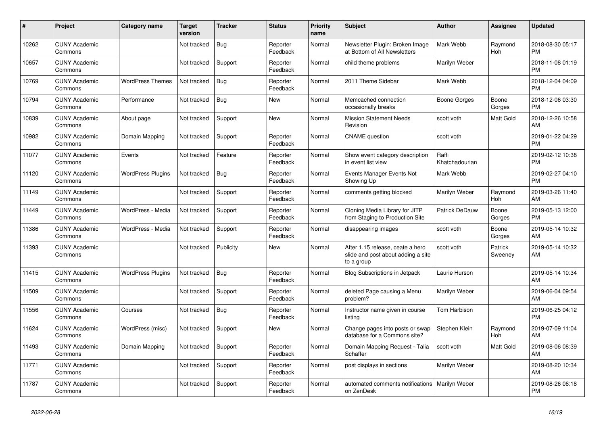| #     | Project                         | <b>Category name</b>     | Target<br>version | <b>Tracker</b> | <b>Status</b>        | <b>Priority</b><br>name | <b>Subject</b>                                                                       | <b>Author</b>           | <b>Assignee</b>       | <b>Updated</b>                |
|-------|---------------------------------|--------------------------|-------------------|----------------|----------------------|-------------------------|--------------------------------------------------------------------------------------|-------------------------|-----------------------|-------------------------------|
| 10262 | <b>CUNY Academic</b><br>Commons |                          | Not tracked       | <b>Bug</b>     | Reporter<br>Feedback | Normal                  | Newsletter Plugin: Broken Image<br>at Bottom of All Newsletters                      | Mark Webb               | Raymond<br>Hoh        | 2018-08-30 05:17<br><b>PM</b> |
| 10657 | <b>CUNY Academic</b><br>Commons |                          | Not tracked       | Support        | Reporter<br>Feedback | Normal                  | child theme problems                                                                 | Marilyn Weber           |                       | 2018-11-08 01:19<br><b>PM</b> |
| 10769 | <b>CUNY Academic</b><br>Commons | <b>WordPress Themes</b>  | Not tracked       | Bug            | Reporter<br>Feedback | Normal                  | 2011 Theme Sidebar                                                                   | Mark Webb               |                       | 2018-12-04 04:09<br><b>PM</b> |
| 10794 | <b>CUNY Academic</b><br>Commons | Performance              | Not tracked       | Bug            | <b>New</b>           | Normal                  | Memcached connection<br>occasionally breaks                                          | <b>Boone Gorges</b>     | Boone<br>Gorges       | 2018-12-06 03:30<br><b>PM</b> |
| 10839 | <b>CUNY Academic</b><br>Commons | About page               | Not tracked       | Support        | <b>New</b>           | Normal                  | <b>Mission Statement Needs</b><br>Revision                                           | scott voth              | Matt Gold             | 2018-12-26 10:58<br>AM        |
| 10982 | <b>CUNY Academic</b><br>Commons | Domain Mapping           | Not tracked       | Support        | Reporter<br>Feedback | Normal                  | <b>CNAME</b> question                                                                | scott voth              |                       | 2019-01-22 04:29<br><b>PM</b> |
| 11077 | <b>CUNY Academic</b><br>Commons | Events                   | Not tracked       | Feature        | Reporter<br>Feedback | Normal                  | Show event category description<br>in event list view                                | Raffi<br>Khatchadourian |                       | 2019-02-12 10:38<br><b>PM</b> |
| 11120 | <b>CUNY Academic</b><br>Commons | <b>WordPress Plugins</b> | Not tracked       | Bug            | Reporter<br>Feedback | Normal                  | Events Manager Events Not<br>Showing Up                                              | Mark Webb               |                       | 2019-02-27 04:10<br><b>PM</b> |
| 11149 | <b>CUNY Academic</b><br>Commons |                          | Not tracked       | Support        | Reporter<br>Feedback | Normal                  | comments getting blocked                                                             | Marilyn Weber           | Raymond<br>Hoh        | 2019-03-26 11:40<br>AM        |
| 11449 | <b>CUNY Academic</b><br>Commons | WordPress - Media        | Not tracked       | Support        | Reporter<br>Feedback | Normal                  | Cloning Media Library for JITP<br>from Staging to Production Site                    | Patrick DeDauw          | Boone<br>Gorges       | 2019-05-13 12:00<br><b>PM</b> |
| 11386 | <b>CUNY Academic</b><br>Commons | WordPress - Media        | Not tracked       | Support        | Reporter<br>Feedback | Normal                  | disappearing images                                                                  | scott voth              | Boone<br>Gorges       | 2019-05-14 10:32<br>AM        |
| 11393 | <b>CUNY Academic</b><br>Commons |                          | Not tracked       | Publicity      | <b>New</b>           | Normal                  | After 1.15 release, ceate a hero<br>slide and post about adding a site<br>to a group | scott voth              | Patrick<br>Sweeney    | 2019-05-14 10:32<br>AM        |
| 11415 | <b>CUNY Academic</b><br>Commons | <b>WordPress Plugins</b> | Not tracked       | Bug            | Reporter<br>Feedback | Normal                  | <b>Blog Subscriptions in Jetpack</b>                                                 | Laurie Hurson           |                       | 2019-05-14 10:34<br>AM        |
| 11509 | <b>CUNY Academic</b><br>Commons |                          | Not tracked       | Support        | Reporter<br>Feedback | Normal                  | deleted Page causing a Menu<br>problem?                                              | Marilyn Weber           |                       | 2019-06-04 09:54<br>AM        |
| 11556 | <b>CUNY Academic</b><br>Commons | Courses                  | Not tracked       | Bug            | Reporter<br>Feedback | Normal                  | Instructor name given in course<br>listing                                           | Tom Harbison            |                       | 2019-06-25 04:12<br><b>PM</b> |
| 11624 | <b>CUNY Academic</b><br>Commons | WordPress (misc)         | Not tracked       | Support        | <b>New</b>           | Normal                  | Change pages into posts or swap<br>database for a Commons site?                      | Stephen Klein           | Raymond<br><b>Hoh</b> | 2019-07-09 11:04<br>AM        |
| 11493 | <b>CUNY Academic</b><br>Commons | Domain Mapping           | Not tracked       | Support        | Reporter<br>Feedback | Normal                  | Domain Mapping Request - Talia<br>Schaffer                                           | scott voth              | <b>Matt Gold</b>      | 2019-08-06 08:39<br>AM        |
| 11771 | <b>CUNY Academic</b><br>Commons |                          | Not tracked       | Support        | Reporter<br>Feedback | Normal                  | post displays in sections                                                            | Marilyn Weber           |                       | 2019-08-20 10:34<br>AM        |
| 11787 | <b>CUNY Academic</b><br>Commons |                          | Not tracked       | Support        | Reporter<br>Feedback | Normal                  | automated comments notifications   Marilyn Weber<br>on ZenDesk                       |                         |                       | 2019-08-26 06:18<br><b>PM</b> |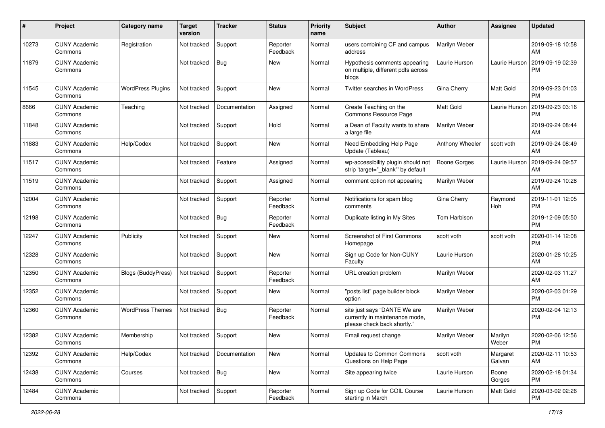| #     | Project                         | <b>Category name</b>      | <b>Target</b><br>version | <b>Tracker</b> | <b>Status</b>        | <b>Priority</b><br>name | <b>Subject</b>                                                                                | Author              | <b>Assignee</b>    | <b>Updated</b>                |
|-------|---------------------------------|---------------------------|--------------------------|----------------|----------------------|-------------------------|-----------------------------------------------------------------------------------------------|---------------------|--------------------|-------------------------------|
| 10273 | <b>CUNY Academic</b><br>Commons | Registration              | Not tracked              | Support        | Reporter<br>Feedback | Normal                  | users combining CF and campus<br>address                                                      | Marilyn Weber       |                    | 2019-09-18 10:58<br>AM        |
| 11879 | <b>CUNY Academic</b><br>Commons |                           | Not tracked              | <b>Bug</b>     | New                  | Normal                  | Hypothesis comments appearing<br>on multiple, different pdfs across<br>blogs                  | Laurie Hurson       | Laurie Hurson      | 2019-09-19 02:39<br><b>PM</b> |
| 11545 | <b>CUNY Academic</b><br>Commons | <b>WordPress Plugins</b>  | Not tracked              | Support        | New                  | Normal                  | Twitter searches in WordPress                                                                 | Gina Cherry         | <b>Matt Gold</b>   | 2019-09-23 01:03<br><b>PM</b> |
| 8666  | <b>CUNY Academic</b><br>Commons | Teaching                  | Not tracked              | Documentation  | Assigned             | Normal                  | Create Teaching on the<br>Commons Resource Page                                               | Matt Gold           | Laurie Hurson      | 2019-09-23 03:16<br>PM        |
| 11848 | <b>CUNY Academic</b><br>Commons |                           | Not tracked              | Support        | Hold                 | Normal                  | a Dean of Faculty wants to share<br>a large file                                              | Marilyn Weber       |                    | 2019-09-24 08:44<br>AM        |
| 11883 | <b>CUNY Academic</b><br>Commons | Help/Codex                | Not tracked              | Support        | New                  | Normal                  | Need Embedding Help Page<br>Update (Tableau)                                                  | Anthony Wheeler     | scott voth         | 2019-09-24 08:49<br>AM        |
| 11517 | <b>CUNY Academic</b><br>Commons |                           | Not tracked              | Feature        | Assigned             | Normal                  | wp-accessibility plugin should not<br>strip 'target=" blank" by default                       | <b>Boone Gorges</b> | Laurie Hurson      | 2019-09-24 09:57<br>AM        |
| 11519 | <b>CUNY Academic</b><br>Commons |                           | Not tracked              | Support        | Assigned             | Normal                  | comment option not appearing                                                                  | Marilyn Weber       |                    | 2019-09-24 10:28<br>AM        |
| 12004 | <b>CUNY Academic</b><br>Commons |                           | Not tracked              | Support        | Reporter<br>Feedback | Normal                  | Notifications for spam blog<br>comments                                                       | Gina Cherry         | Raymond<br>Hoh     | 2019-11-01 12:05<br><b>PM</b> |
| 12198 | <b>CUNY Academic</b><br>Commons |                           | Not tracked              | Bug            | Reporter<br>Feedback | Normal                  | Duplicate listing in My Sites                                                                 | Tom Harbison        |                    | 2019-12-09 05:50<br><b>PM</b> |
| 12247 | <b>CUNY Academic</b><br>Commons | Publicity                 | Not tracked              | Support        | New                  | Normal                  | <b>Screenshot of First Commons</b><br>Homepage                                                | scott voth          | scott voth         | 2020-01-14 12:08<br>PM        |
| 12328 | <b>CUNY Academic</b><br>Commons |                           | Not tracked              | Support        | New                  | Normal                  | Sign up Code for Non-CUNY<br>Faculty                                                          | Laurie Hurson       |                    | 2020-01-28 10:25<br>AM        |
| 12350 | <b>CUNY Academic</b><br>Commons | <b>Blogs (BuddyPress)</b> | Not tracked              | Support        | Reporter<br>Feedback | Normal                  | URL creation problem                                                                          | Marilyn Weber       |                    | 2020-02-03 11:27<br>AM        |
| 12352 | <b>CUNY Academic</b><br>Commons |                           | Not tracked              | Support        | New                  | Normal                  | "posts list" page builder block<br>option                                                     | Marilyn Weber       |                    | 2020-02-03 01:29<br><b>PM</b> |
| 12360 | <b>CUNY Academic</b><br>Commons | <b>WordPress Themes</b>   | Not tracked              | <b>Bug</b>     | Reporter<br>Feedback | Normal                  | site just says "DANTE We are<br>currently in maintenance mode,<br>please check back shortly." | Marilyn Weber       |                    | 2020-02-04 12:13<br><b>PM</b> |
| 12382 | <b>CUNY Academic</b><br>Commons | Membership                | Not tracked              | Support        | New                  | Normal                  | Email request change                                                                          | Marilyn Weber       | Marilyn<br>Weber   | 2020-02-06 12:56<br>PM        |
| 12392 | <b>CUNY Academic</b><br>Commons | Help/Codex                | Not tracked              | Documentation  | New                  | Normal                  | Updates to Common Commons<br>Questions on Help Page                                           | scott voth          | Margaret<br>Galvan | 2020-02-11 10:53<br>AM        |
| 12438 | <b>CUNY Academic</b><br>Commons | Courses                   | Not tracked              | Bug            | New                  | Normal                  | Site appearing twice                                                                          | Laurie Hurson       | Boone<br>Gorges    | 2020-02-18 01:34<br><b>PM</b> |
| 12484 | <b>CUNY Academic</b><br>Commons |                           | Not tracked              | Support        | Reporter<br>Feedback | Normal                  | Sign up Code for COIL Course<br>starting in March                                             | Laurie Hurson       | Matt Gold          | 2020-03-02 02:26<br><b>PM</b> |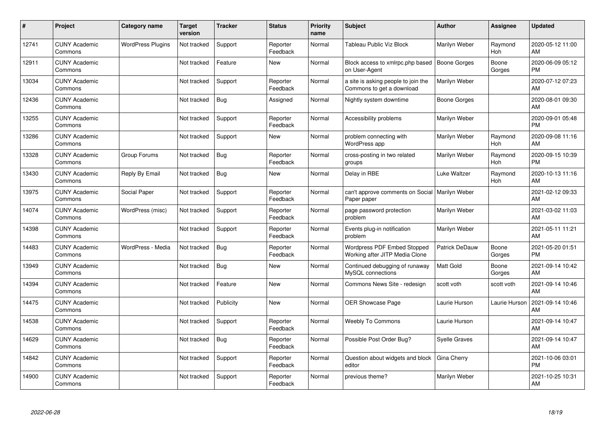| #     | Project                         | <b>Category name</b>     | <b>Target</b><br>version | <b>Tracker</b> | <b>Status</b>        | <b>Priority</b><br>name | <b>Subject</b>                                                   | <b>Author</b>         | <b>Assignee</b>       | <b>Updated</b>                |
|-------|---------------------------------|--------------------------|--------------------------|----------------|----------------------|-------------------------|------------------------------------------------------------------|-----------------------|-----------------------|-------------------------------|
| 12741 | <b>CUNY Academic</b><br>Commons | <b>WordPress Plugins</b> | Not tracked              | Support        | Reporter<br>Feedback | Normal                  | Tableau Public Viz Block                                         | Marilyn Weber         | Raymond<br>Hoh        | 2020-05-12 11:00<br>AM        |
| 12911 | <b>CUNY Academic</b><br>Commons |                          | Not tracked              | Feature        | <b>New</b>           | Normal                  | Block access to xmlrpc.php based<br>on User-Agent                | <b>Boone Gorges</b>   | Boone<br>Gorges       | 2020-06-09 05:12<br><b>PM</b> |
| 13034 | <b>CUNY Academic</b><br>Commons |                          | Not tracked              | Support        | Reporter<br>Feedback | Normal                  | a site is asking people to join the<br>Commons to get a download | Marilyn Weber         |                       | 2020-07-12 07:23<br>AM        |
| 12436 | <b>CUNY Academic</b><br>Commons |                          | Not tracked              | <b>Bug</b>     | Assigned             | Normal                  | Nightly system downtime                                          | <b>Boone Gorges</b>   |                       | 2020-08-01 09:30<br>AM        |
| 13255 | <b>CUNY Academic</b><br>Commons |                          | Not tracked              | Support        | Reporter<br>Feedback | Normal                  | Accessibility problems                                           | Marilyn Weber         |                       | 2020-09-01 05:48<br><b>PM</b> |
| 13286 | <b>CUNY Academic</b><br>Commons |                          | Not tracked              | Support        | <b>New</b>           | Normal                  | problem connecting with<br>WordPress app                         | Marilyn Weber         | Raymond<br><b>Hoh</b> | 2020-09-08 11:16<br>AM        |
| 13328 | <b>CUNY Academic</b><br>Commons | Group Forums             | Not tracked              | <b>Bug</b>     | Reporter<br>Feedback | Normal                  | cross-posting in two related<br>groups                           | Marilyn Weber         | Raymond<br>Hoh        | 2020-09-15 10:39<br><b>PM</b> |
| 13430 | <b>CUNY Academic</b><br>Commons | Reply By Email           | Not tracked              | <b>Bug</b>     | <b>New</b>           | Normal                  | Delay in RBE                                                     | <b>Luke Waltzer</b>   | Raymond<br>Hoh        | 2020-10-13 11:16<br>AM        |
| 13975 | <b>CUNY Academic</b><br>Commons | Social Paper             | Not tracked              | Support        | Reporter<br>Feedback | Normal                  | can't approve comments on Social   Marilyn Weber<br>Paper paper  |                       |                       | 2021-02-12 09:33<br>AM        |
| 14074 | <b>CUNY Academic</b><br>Commons | WordPress (misc)         | Not tracked              | Support        | Reporter<br>Feedback | Normal                  | page password protection<br>problem                              | Marilyn Weber         |                       | 2021-03-02 11:03<br>AM        |
| 14398 | <b>CUNY Academic</b><br>Commons |                          | Not tracked              | Support        | Reporter<br>Feedback | Normal                  | Events plug-in notification<br>problem                           | Marilyn Weber         |                       | 2021-05-11 11:21<br>AM        |
| 14483 | <b>CUNY Academic</b><br>Commons | WordPress - Media        | Not tracked              | Bug            | Reporter<br>Feedback | Normal                  | Wordpress PDF Embed Stopped<br>Working after JITP Media Clone    | <b>Patrick DeDauw</b> | Boone<br>Gorges       | 2021-05-20 01:51<br><b>PM</b> |
| 13949 | <b>CUNY Academic</b><br>Commons |                          | Not tracked              | <b>Bug</b>     | New                  | Normal                  | Continued debugging of runaway<br>MySQL connections              | <b>Matt Gold</b>      | Boone<br>Gorges       | 2021-09-14 10:42<br>AM        |
| 14394 | <b>CUNY Academic</b><br>Commons |                          | Not tracked              | Feature        | <b>New</b>           | Normal                  | Commons News Site - redesign                                     | scott voth            | scott voth            | 2021-09-14 10:46<br>AM        |
| 14475 | <b>CUNY Academic</b><br>Commons |                          | Not tracked              | Publicity      | <b>New</b>           | Normal                  | <b>OER Showcase Page</b>                                         | Laurie Hurson         | Laurie Hurson         | 2021-09-14 10:46<br>AM        |
| 14538 | <b>CUNY Academic</b><br>Commons |                          | Not tracked              | Support        | Reporter<br>Feedback | Normal                  | Weebly To Commons                                                | Laurie Hurson         |                       | 2021-09-14 10:47<br>AM        |
| 14629 | <b>CUNY Academic</b><br>Commons |                          | Not tracked              | <b>Bug</b>     | Reporter<br>Feedback | Normal                  | Possible Post Order Bug?                                         | <b>Syelle Graves</b>  |                       | 2021-09-14 10:47<br>AM        |
| 14842 | <b>CUNY Academic</b><br>Commons |                          | Not tracked              | Support        | Reporter<br>Feedback | Normal                  | Question about widgets and block<br>editor                       | Gina Cherry           |                       | 2021-10-06 03:01<br><b>PM</b> |
| 14900 | <b>CUNY Academic</b><br>Commons |                          | Not tracked              | Support        | Reporter<br>Feedback | Normal                  | previous theme?                                                  | Marilyn Weber         |                       | 2021-10-25 10:31<br>AM        |